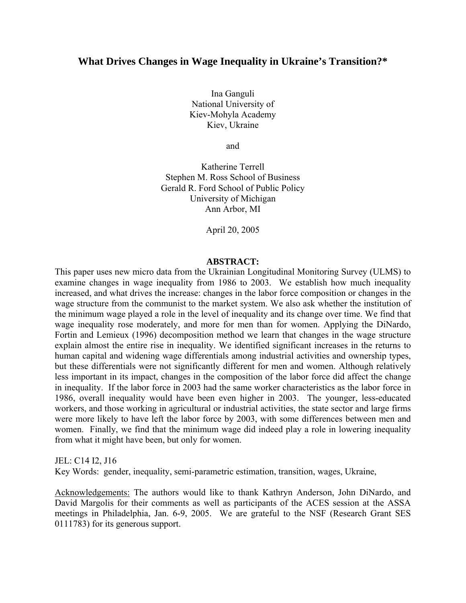# **What Drives Changes in Wage Inequality in Ukraine's Transition?\***

Ina Ganguli National University of Kiev-Mohyla Academy Kiev, Ukraine

and

Katherine Terrell Stephen M. Ross School of Business Gerald R. Ford School of Public Policy University of Michigan Ann Arbor, MI

April 20, 2005

### **ABSTRACT:**

This paper uses new micro data from the Ukrainian Longitudinal Monitoring Survey (ULMS) to examine changes in wage inequality from 1986 to 2003. We establish how much inequality increased, and what drives the increase: changes in the labor force composition or changes in the wage structure from the communist to the market system. We also ask whether the institution of the minimum wage played a role in the level of inequality and its change over time. We find that wage inequality rose moderately, and more for men than for women. Applying the DiNardo, Fortin and Lemieux (1996) decomposition method we learn that changes in the wage structure explain almost the entire rise in inequality. We identified significant increases in the returns to human capital and widening wage differentials among industrial activities and ownership types, but these differentials were not significantly different for men and women. Although relatively less important in its impact, changes in the composition of the labor force did affect the change in inequality. If the labor force in 2003 had the same worker characteristics as the labor force in 1986, overall inequality would have been even higher in 2003. The younger, less-educated workers, and those working in agricultural or industrial activities, the state sector and large firms were more likely to have left the labor force by 2003, with some differences between men and women. Finally, we find that the minimum wage did indeed play a role in lowering inequality from what it might have been, but only for women.

#### JEL: C14 I2, J16

Key Words: gender, inequality, semi-parametric estimation, transition, wages, Ukraine,

Acknowledgements: The authors would like to thank Kathryn Anderson, John DiNardo, and David Margolis for their comments as well as participants of the ACES session at the ASSA meetings in Philadelphia, Jan. 6-9, 2005. We are grateful to the NSF (Research Grant SES 0111783) for its generous support.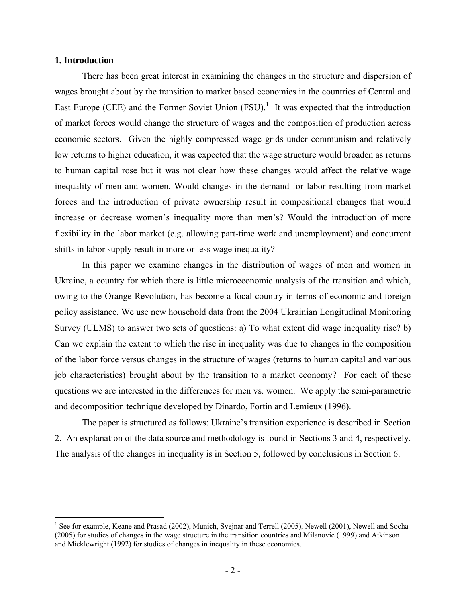## **1. Introduction**

 $\overline{a}$ 

There has been great interest in examining the changes in the structure and dispersion of wages brought about by the transition to market based economies in the countries of Central and East Europe (CEE) and the Former Soviet Union  $(FSU)^{1}$ . It was expected that the introduction of market forces would change the structure of wages and the composition of production across economic sectors. Given the highly compressed wage grids under communism and relatively low returns to higher education, it was expected that the wage structure would broaden as returns to human capital rose but it was not clear how these changes would affect the relative wage inequality of men and women. Would changes in the demand for labor resulting from market forces and the introduction of private ownership result in compositional changes that would increase or decrease women's inequality more than men's? Would the introduction of more flexibility in the labor market (e.g. allowing part-time work and unemployment) and concurrent shifts in labor supply result in more or less wage inequality?

In this paper we examine changes in the distribution of wages of men and women in Ukraine, a country for which there is little microeconomic analysis of the transition and which, owing to the Orange Revolution, has become a focal country in terms of economic and foreign policy assistance. We use new household data from the 2004 Ukrainian Longitudinal Monitoring Survey (ULMS) to answer two sets of questions: a) To what extent did wage inequality rise? b) Can we explain the extent to which the rise in inequality was due to changes in the composition of the labor force versus changes in the structure of wages (returns to human capital and various job characteristics) brought about by the transition to a market economy? For each of these questions we are interested in the differences for men vs. women. We apply the semi-parametric and decomposition technique developed by Dinardo, Fortin and Lemieux (1996).

The paper is structured as follows: Ukraine's transition experience is described in Section 2. An explanation of the data source and methodology is found in Sections 3 and 4, respectively. The analysis of the changes in inequality is in Section 5, followed by conclusions in Section 6.

<sup>&</sup>lt;sup>1</sup> See for example, Keane and Prasad (2002), Munich, Svejnar and Terrell (2005), Newell (2001), Newell and Socha (2005) for studies of changes in the wage structure in the transition countries and Milanovic (1999) and Atkinson and Micklewright (1992) for studies of changes in inequality in these economies.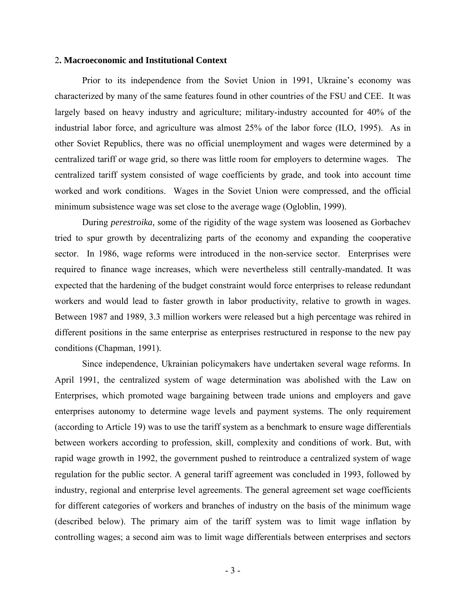### 2**. Macroeconomic and Institutional Context**

Prior to its independence from the Soviet Union in 1991, Ukraine's economy was characterized by many of the same features found in other countries of the FSU and CEE. It was largely based on heavy industry and agriculture; military-industry accounted for 40% of the industrial labor force, and agriculture was almost 25% of the labor force (ILO, 1995). As in other Soviet Republics, there was no official unemployment and wages were determined by a centralized tariff or wage grid, so there was little room for employers to determine wages. The centralized tariff system consisted of wage coefficients by grade, and took into account time worked and work conditions. Wages in the Soviet Union were compressed, and the official minimum subsistence wage was set close to the average wage (Ogloblin, 1999).

During *perestroika,* some of the rigidity of the wage system was loosened as Gorbachev tried to spur growth by decentralizing parts of the economy and expanding the cooperative sector. In 1986, wage reforms were introduced in the non-service sector. Enterprises were required to finance wage increases, which were nevertheless still centrally-mandated. It was expected that the hardening of the budget constraint would force enterprises to release redundant workers and would lead to faster growth in labor productivity, relative to growth in wages. Between 1987 and 1989, 3.3 million workers were released but a high percentage was rehired in different positions in the same enterprise as enterprises restructured in response to the new pay conditions (Chapman, 1991).

Since independence, Ukrainian policymakers have undertaken several wage reforms. In April 1991, the centralized system of wage determination was abolished with the Law on Enterprises, which promoted wage bargaining between trade unions and employers and gave enterprises autonomy to determine wage levels and payment systems. The only requirement (according to Article 19) was to use the tariff system as a benchmark to ensure wage differentials between workers according to profession, skill, complexity and conditions of work. But, with rapid wage growth in 1992, the government pushed to reintroduce a centralized system of wage regulation for the public sector. A general tariff agreement was concluded in 1993, followed by industry, regional and enterprise level agreements. The general agreement set wage coefficients for different categories of workers and branches of industry on the basis of the minimum wage (described below). The primary aim of the tariff system was to limit wage inflation by controlling wages; a second aim was to limit wage differentials between enterprises and sectors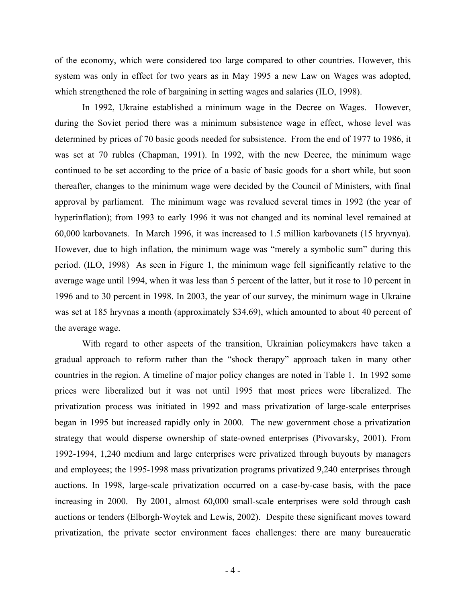of the economy, which were considered too large compared to other countries. However, this system was only in effect for two years as in May 1995 a new Law on Wages was adopted, which strengthened the role of bargaining in setting wages and salaries (ILO, 1998).

In 1992, Ukraine established a minimum wage in the Decree on Wages. However, during the Soviet period there was a minimum subsistence wage in effect, whose level was determined by prices of 70 basic goods needed for subsistence. From the end of 1977 to 1986, it was set at 70 rubles (Chapman, 1991). In 1992, with the new Decree, the minimum wage continued to be set according to the price of a basic of basic goods for a short while, but soon thereafter, changes to the minimum wage were decided by the Council of Ministers, with final approval by parliament. The minimum wage was revalued several times in 1992 (the year of hyperinflation); from 1993 to early 1996 it was not changed and its nominal level remained at 60,000 karbovanets. In March 1996, it was increased to 1.5 million karbovanets (15 hryvnya). However, due to high inflation, the minimum wage was "merely a symbolic sum" during this period. (ILO, 1998) As seen in Figure 1, the minimum wage fell significantly relative to the average wage until 1994, when it was less than 5 percent of the latter, but it rose to 10 percent in 1996 and to 30 percent in 1998. In 2003, the year of our survey, the minimum wage in Ukraine was set at 185 hryvnas a month (approximately \$34.69), which amounted to about 40 percent of the average wage.

With regard to other aspects of the transition, Ukrainian policymakers have taken a gradual approach to reform rather than the "shock therapy" approach taken in many other countries in the region. A timeline of major policy changes are noted in Table 1. In 1992 some prices were liberalized but it was not until 1995 that most prices were liberalized. The privatization process was initiated in 1992 and mass privatization of large-scale enterprises began in 1995 but increased rapidly only in 2000. The new government chose a privatization strategy that would disperse ownership of state-owned enterprises (Pivovarsky, 2001). From 1992-1994, 1,240 medium and large enterprises were privatized through buyouts by managers and employees; the 1995-1998 mass privatization programs privatized 9,240 enterprises through auctions. In 1998, large-scale privatization occurred on a case-by-case basis, with the pace increasing in 2000. By 2001, almost 60,000 small-scale enterprises were sold through cash auctions or tenders (Elborgh-Woytek and Lewis, 2002). Despite these significant moves toward privatization, the private sector environment faces challenges: there are many bureaucratic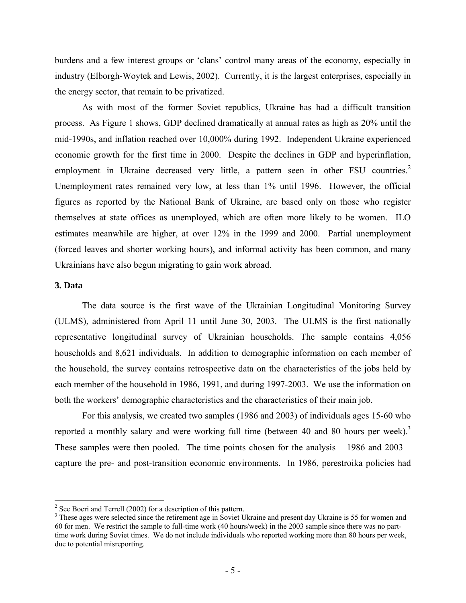burdens and a few interest groups or 'clans' control many areas of the economy, especially in industry (Elborgh-Woytek and Lewis, 2002). Currently, it is the largest enterprises, especially in the energy sector, that remain to be privatized.

As with most of the former Soviet republics, Ukraine has had a difficult transition process. As Figure 1 shows, GDP declined dramatically at annual rates as high as 20% until the mid-1990s, and inflation reached over 10,000% during 1992. Independent Ukraine experienced economic growth for the first time in 2000. Despite the declines in GDP and hyperinflation, employment in Ukraine decreased very little, a pattern seen in other FSU countries.<sup>2</sup> Unemployment rates remained very low, at less than 1% until 1996. However, the official figures as reported by the National Bank of Ukraine, are based only on those who register themselves at state offices as unemployed, which are often more likely to be women. ILO estimates meanwhile are higher, at over 12% in the 1999 and 2000. Partial unemployment (forced leaves and shorter working hours), and informal activity has been common, and many Ukrainians have also begun migrating to gain work abroad.

### **3. Data**

1

The data source is the first wave of the Ukrainian Longitudinal Monitoring Survey (ULMS), administered from April 11 until June 30, 2003. The ULMS is the first nationally representative longitudinal survey of Ukrainian households. The sample contains 4,056 households and 8,621 individuals. In addition to demographic information on each member of the household, the survey contains retrospective data on the characteristics of the jobs held by each member of the household in 1986, 1991, and during 1997-2003. We use the information on both the workers' demographic characteristics and the characteristics of their main job.

For this analysis, we created two samples (1986 and 2003) of individuals ages 15-60 who reported a monthly salary and were working full time (between 40 and 80 hours per week).<sup>3</sup> These samples were then pooled. The time points chosen for the analysis – 1986 and 2003 – capture the pre- and post-transition economic environments. In 1986, perestroika policies had

 $2^2$  See Boeri and Terrell (2002) for a description of this pattern.

<sup>&</sup>lt;sup>3</sup> These ages were selected since the retirement age in Soviet Ukraine and present day Ukraine is 55 for women and 60 for men. We restrict the sample to full-time work (40 hours/week) in the 2003 sample since there was no parttime work during Soviet times. We do not include individuals who reported working more than 80 hours per week, due to potential misreporting.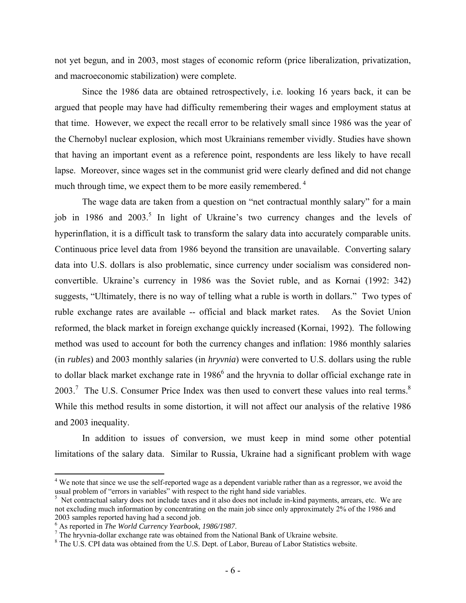not yet begun, and in 2003, most stages of economic reform (price liberalization, privatization, and macroeconomic stabilization) were complete.

Since the 1986 data are obtained retrospectively, i.e. looking 16 years back, it can be argued that people may have had difficulty remembering their wages and employment status at that time. However, we expect the recall error to be relatively small since 1986 was the year of the Chernobyl nuclear explosion, which most Ukrainians remember vividly. Studies have shown that having an important event as a reference point, respondents are less likely to have recall lapse. Moreover, since wages set in the communist grid were clearly defined and did not change much through time, we expect them to be more easily remembered.<sup>4</sup>

The wage data are taken from a question on "net contractual monthly salary" for a main job in 1986 and 2003.<sup>5</sup> In light of Ukraine's two currency changes and the levels of hyperinflation, it is a difficult task to transform the salary data into accurately comparable units. Continuous price level data from 1986 beyond the transition are unavailable. Converting salary data into U.S. dollars is also problematic, since currency under socialism was considered nonconvertible. Ukraine's currency in 1986 was the Soviet ruble, and as Kornai (1992: 342) suggests, "Ultimately, there is no way of telling what a ruble is worth in dollars." Two types of ruble exchange rates are available -- official and black market rates. As the Soviet Union reformed, the black market in foreign exchange quickly increased (Kornai, 1992). The following method was used to account for both the currency changes and inflation: 1986 monthly salaries (in *rubles*) and 2003 monthly salaries (in *hryvnia*) were converted to U.S. dollars using the ruble to dollar black market exchange rate in  $1986<sup>6</sup>$  and the hryvnia to dollar official exchange rate in  $2003$ .<sup>7</sup> The U.S. Consumer Price Index was then used to convert these values into real terms.<sup>8</sup> While this method results in some distortion, it will not affect our analysis of the relative 1986 and 2003 inequality.

In addition to issues of conversion, we must keep in mind some other potential limitations of the salary data. Similar to Russia, Ukraine had a significant problem with wage

1

<sup>&</sup>lt;sup>4</sup> We note that since we use the self-reported wage as a dependent variable rather than as a regressor, we avoid the usual problem of "errors in variables" with respect to the right hand side variables.

<sup>&</sup>lt;sup>5</sup> Net contractual salary does not include taxes and it also does not include in-kind payments, arrears, etc. We are not excluding much information by concentrating on the main job since only approximately 2% of the 1986 and 2003 samples reported having had a second job.

<sup>&</sup>lt;sup>6</sup> As reported in *The World Currency Yearbook, 1986/1987*.

 $<sup>7</sup>$  The hryvnia-dollar exchange rate was obtained from the National Bank of Ukraine website.</sup>

<sup>&</sup>lt;sup>8</sup> The U.S. CPI data was obtained from the U.S. Dept. of Labor, Bureau of Labor Statistics website.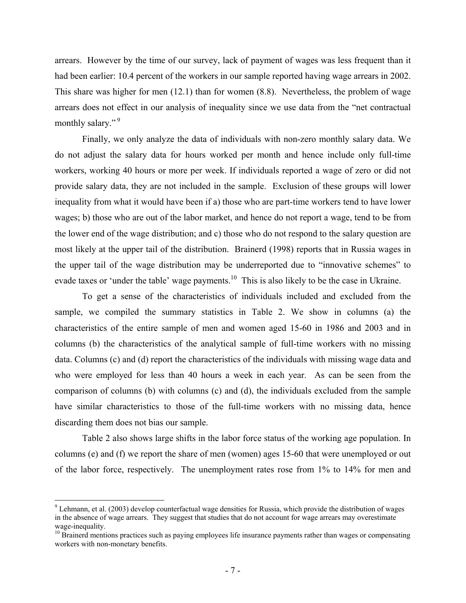arrears. However by the time of our survey, lack of payment of wages was less frequent than it had been earlier: 10.4 percent of the workers in our sample reported having wage arrears in 2002. This share was higher for men (12.1) than for women (8.8). Nevertheless, the problem of wage arrears does not effect in our analysis of inequality since we use data from the "net contractual monthly salary."<sup>9</sup>

Finally, we only analyze the data of individuals with non-zero monthly salary data. We do not adjust the salary data for hours worked per month and hence include only full-time workers, working 40 hours or more per week. If individuals reported a wage of zero or did not provide salary data, they are not included in the sample. Exclusion of these groups will lower inequality from what it would have been if a) those who are part-time workers tend to have lower wages; b) those who are out of the labor market, and hence do not report a wage, tend to be from the lower end of the wage distribution; and c) those who do not respond to the salary question are most likely at the upper tail of the distribution. Brainerd (1998) reports that in Russia wages in the upper tail of the wage distribution may be underreported due to "innovative schemes" to evade taxes or 'under the table' wage payments.<sup>10</sup> This is also likely to be the case in Ukraine.

To get a sense of the characteristics of individuals included and excluded from the sample, we compiled the summary statistics in Table 2. We show in columns (a) the characteristics of the entire sample of men and women aged 15-60 in 1986 and 2003 and in columns (b) the characteristics of the analytical sample of full-time workers with no missing data. Columns (c) and (d) report the characteristics of the individuals with missing wage data and who were employed for less than 40 hours a week in each year. As can be seen from the comparison of columns (b) with columns (c) and (d), the individuals excluded from the sample have similar characteristics to those of the full-time workers with no missing data, hence discarding them does not bias our sample.

Table 2 also shows large shifts in the labor force status of the working age population. In columns (e) and (f) we report the share of men (women) ages 15-60 that were unemployed or out of the labor force, respectively. The unemployment rates rose from 1% to 14% for men and

 $\overline{a}$ 

 $9$  Lehmann, et al. (2003) develop counterfactual wage densities for Russia, which provide the distribution of wages in the absence of wage arrears. They suggest that studies that do not account for wage arrears may overestimate wage-inequality.

<sup>&</sup>lt;sup>10</sup> Brainerd mentions practices such as paying employees life insurance payments rather than wages or compensating workers with non-monetary benefits.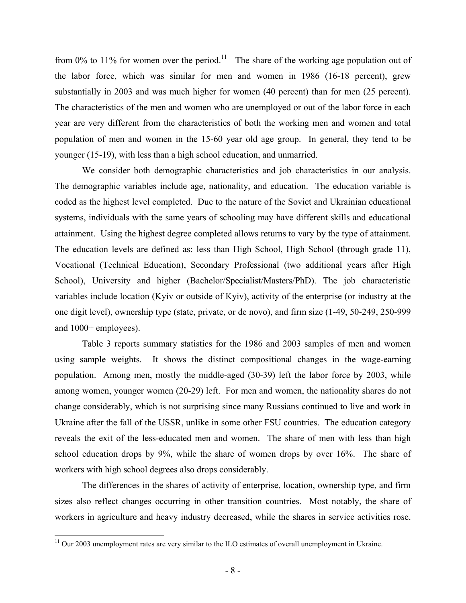from 0% to 11% for women over the period.<sup>11</sup> The share of the working age population out of the labor force, which was similar for men and women in 1986 (16-18 percent), grew substantially in 2003 and was much higher for women (40 percent) than for men (25 percent). The characteristics of the men and women who are unemployed or out of the labor force in each year are very different from the characteristics of both the working men and women and total population of men and women in the 15-60 year old age group. In general, they tend to be younger (15-19), with less than a high school education, and unmarried.

We consider both demographic characteristics and job characteristics in our analysis. The demographic variables include age, nationality, and education. The education variable is coded as the highest level completed. Due to the nature of the Soviet and Ukrainian educational systems, individuals with the same years of schooling may have different skills and educational attainment. Using the highest degree completed allows returns to vary by the type of attainment. The education levels are defined as: less than High School, High School (through grade 11), Vocational (Technical Education), Secondary Professional (two additional years after High School), University and higher (Bachelor/Specialist/Masters/PhD). The job characteristic variables include location (Kyiv or outside of Kyiv), activity of the enterprise (or industry at the one digit level), ownership type (state, private, or de novo), and firm size (1-49, 50-249, 250-999 and 1000+ employees).

Table 3 reports summary statistics for the 1986 and 2003 samples of men and women using sample weights. It shows the distinct compositional changes in the wage-earning population. Among men, mostly the middle-aged (30-39) left the labor force by 2003, while among women, younger women (20-29) left. For men and women, the nationality shares do not change considerably, which is not surprising since many Russians continued to live and work in Ukraine after the fall of the USSR, unlike in some other FSU countries. The education category reveals the exit of the less-educated men and women. The share of men with less than high school education drops by 9%, while the share of women drops by over 16%. The share of workers with high school degrees also drops considerably.

The differences in the shares of activity of enterprise, location, ownership type, and firm sizes also reflect changes occurring in other transition countries. Most notably, the share of workers in agriculture and heavy industry decreased, while the shares in service activities rose.

 $\overline{a}$ 

 $11$  Our 2003 unemployment rates are very similar to the ILO estimates of overall unemployment in Ukraine.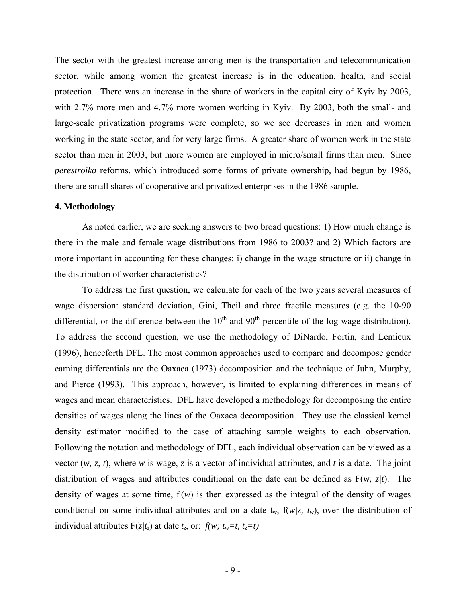The sector with the greatest increase among men is the transportation and telecommunication sector, while among women the greatest increase is in the education, health, and social protection. There was an increase in the share of workers in the capital city of Kyiv by 2003, with 2.7% more men and 4.7% more women working in Kyiv. By 2003, both the small- and large-scale privatization programs were complete, so we see decreases in men and women working in the state sector, and for very large firms. A greater share of women work in the state sector than men in 2003, but more women are employed in micro/small firms than men. Since *perestroika* reforms, which introduced some forms of private ownership, had begun by 1986, there are small shares of cooperative and privatized enterprises in the 1986 sample.

## **4. Methodology**

As noted earlier, we are seeking answers to two broad questions: 1) How much change is there in the male and female wage distributions from 1986 to 2003? and 2) Which factors are more important in accounting for these changes: i) change in the wage structure or ii) change in the distribution of worker characteristics?

To address the first question, we calculate for each of the two years several measures of wage dispersion: standard deviation, Gini, Theil and three fractile measures (e.g. the 10-90 differential, or the difference between the  $10<sup>th</sup>$  and  $90<sup>th</sup>$  percentile of the log wage distribution). To address the second question, we use the methodology of DiNardo, Fortin, and Lemieux (1996), henceforth DFL. The most common approaches used to compare and decompose gender earning differentials are the Oaxaca (1973) decomposition and the technique of Juhn, Murphy, and Pierce (1993). This approach, however, is limited to explaining differences in means of wages and mean characteristics. DFL have developed a methodology for decomposing the entire densities of wages along the lines of the Oaxaca decomposition. They use the classical kernel density estimator modified to the case of attaching sample weights to each observation. Following the notation and methodology of DFL, each individual observation can be viewed as a vector (*w, z, t*), where *w* is wage, *z* is a vector of individual attributes, and *t* is a date. The joint distribution of wages and attributes conditional on the date can be defined as F(*w, z|t*). The density of wages at some time,  $f<sub>t</sub>(w)$  is then expressed as the integral of the density of wages conditional on some individual attributes and on a date  $t_w$ ,  $f(w/z, t_w)$ , over the distribution of individual attributes  $F(z/t_z)$  at date  $t_z$ , or:  $f(w; t_w=t, t_z=t)$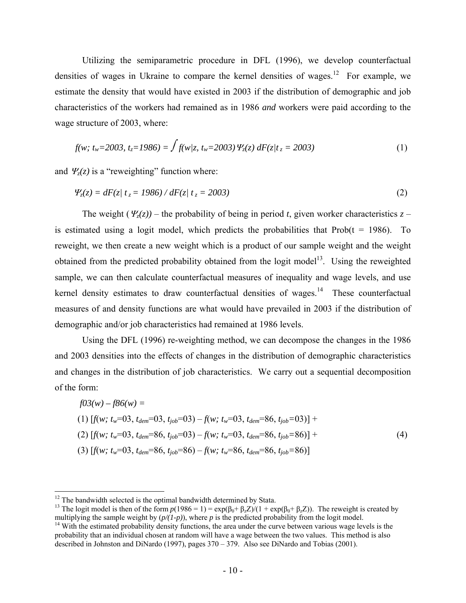Utilizing the semiparametric procedure in DFL (1996), we develop counterfactual densities of wages in Ukraine to compare the kernel densities of wages.<sup>12</sup> For example, we estimate the density that would have existed in 2003 if the distribution of demographic and job characteristics of the workers had remained as in 1986 *and* workers were paid according to the wage structure of 2003, where:

$$
f(w; t_w=2003, t_z=1986) = \int f(w/z, t_w=2003) \, \Psi_z(z) \, dF(z/t_z=2003) \tag{1}
$$

and  $\Psi_z(z)$  is a "reweighting" function where:

$$
\Psi_z(z) = dF(z) \ t_z = 1986 \cdot dF(z) \ t_z = 2003 \tag{2}
$$

The weight  $(\Psi_{z}(z))$  – the probability of being in period *t*, given worker characteristics  $z$  – is estimated using a logit model, which predicts the probabilities that  $Prob(t = 1986)$ . To reweight, we then create a new weight which is a product of our sample weight and the weight obtained from the predicted probability obtained from the logit model<sup>13</sup>. Using the reweighted sample, we can then calculate counterfactual measures of inequality and wage levels, and use kernel density estimates to draw counterfactual densities of wages.<sup>14</sup> These counterfactual measures of and density functions are what would have prevailed in 2003 if the distribution of demographic and/or job characteristics had remained at 1986 levels.

Using the DFL (1996) re-weighting method, we can decompose the changes in the 1986 and 2003 densities into the effects of changes in the distribution of demographic characteristics and changes in the distribution of job characteristics. We carry out a sequential decomposition of the form:

$$
f03(w) - f86(w) =
$$
  
(1) 
$$
[f(w; t_w=03, t_{dem}=03, t_{job}=03) - f(w; t_w=03, t_{dem}=86, t_{job}=03)] +
$$
  
(2) 
$$
[f(w; t_w=03, t_{dem}=86, t_{job}=03) - f(w; t_w=03, t_{dem}=86, t_{job}=86)] +
$$
  
(3) 
$$
[f(w; t_w=03, t_{dem}=86, t_{job}=86) - f(w; t_w=86, t_{dem}=86, t_{job}=86)]
$$
 (4)

<u>.</u>

 $12$  The bandwidth selected is the optimal bandwidth determined by Stata.

<sup>&</sup>lt;sup>13</sup> The logit model is then of the form  $p(1986 = 1) = \exp(\beta_0 + \beta_z Z)/(1 + \exp(\beta_0 + \beta_z Z))$ . The reweight is created by multiplying the sample weight by  $(p/(1-p))$ , where p is the predicted probability from the logit model.

<sup>&</sup>lt;sup>14</sup> With the estimated probability density functions, the area under the curve between various wage levels is the probability that an individual chosen at random will have a wage between the two values. This method is also described in Johnston and DiNardo (1997), pages 370 – 379. Also see DiNardo and Tobias (2001).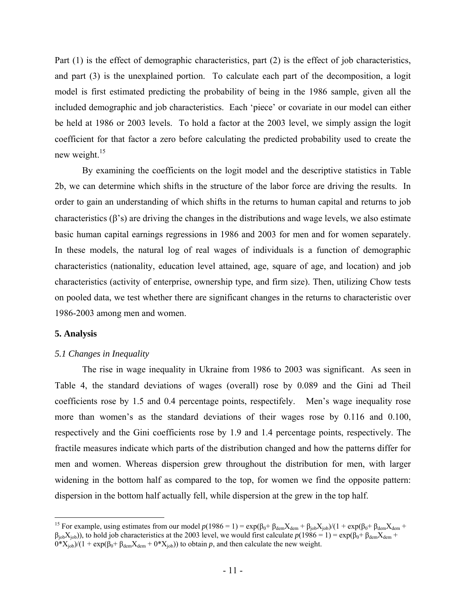Part (1) is the effect of demographic characteristics, part (2) is the effect of job characteristics, and part (3) is the unexplained portion. To calculate each part of the decomposition, a logit model is first estimated predicting the probability of being in the 1986 sample, given all the included demographic and job characteristics. Each 'piece' or covariate in our model can either be held at 1986 or 2003 levels. To hold a factor at the 2003 level, we simply assign the logit coefficient for that factor a zero before calculating the predicted probability used to create the new weight.<sup>15</sup>

By examining the coefficients on the logit model and the descriptive statistics in Table 2b, we can determine which shifts in the structure of the labor force are driving the results. In order to gain an understanding of which shifts in the returns to human capital and returns to job characteristics  $(\beta's)$  are driving the changes in the distributions and wage levels, we also estimate basic human capital earnings regressions in 1986 and 2003 for men and for women separately. In these models, the natural log of real wages of individuals is a function of demographic characteristics (nationality, education level attained, age, square of age, and location) and job characteristics (activity of enterprise, ownership type, and firm size). Then, utilizing Chow tests on pooled data, we test whether there are significant changes in the returns to characteristic over 1986-2003 among men and women.

#### **5. Analysis**

 $\overline{a}$ 

## *5.1 Changes in Inequality*

The rise in wage inequality in Ukraine from 1986 to 2003 was significant. As seen in Table 4, the standard deviations of wages (overall) rose by 0.089 and the Gini ad Theil coefficients rose by 1.5 and 0.4 percentage points, respectifely. Men's wage inequality rose more than women's as the standard deviations of their wages rose by 0.116 and 0.100, respectively and the Gini coefficients rose by 1.9 and 1.4 percentage points, respectively. The fractile measures indicate which parts of the distribution changed and how the patterns differ for men and women. Whereas dispersion grew throughout the distribution for men, with larger widening in the bottom half as compared to the top, for women we find the opposite pattern: dispersion in the bottom half actually fell, while dispersion at the grew in the top half.

<sup>&</sup>lt;sup>15</sup> For example, using estimates from our model  $p(1986 = 1) = \exp(\beta_0 + \beta_{dem}X_{dem} + \beta_{job}X_{job})/(1 + \exp(\beta_0 + \beta_{dem}X_{dem} + \beta_{comb}X_{ob}))$  $\beta_{\text{job}}(X_{\text{job}})$ , to hold job characteristics at the 2003 level, we would first calculate  $p(1986 = 1) = \exp(\beta_0 + \beta_{\text{dem}}X_{\text{dem}} +$  $0^*X_{\text{job}}/(1 + \exp(\beta_0 + \beta_{\text{dem}}X_{\text{dem}} + 0^*X_{\text{job}}))$  to obtain *p*, and then calculate the new weight.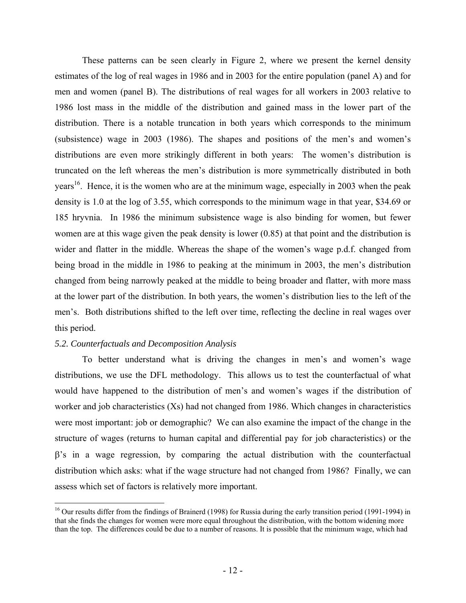These patterns can be seen clearly in Figure 2, where we present the kernel density estimates of the log of real wages in 1986 and in 2003 for the entire population (panel A) and for men and women (panel B). The distributions of real wages for all workers in 2003 relative to 1986 lost mass in the middle of the distribution and gained mass in the lower part of the distribution. There is a notable truncation in both years which corresponds to the minimum (subsistence) wage in 2003 (1986). The shapes and positions of the men's and women's distributions are even more strikingly different in both years: The women's distribution is truncated on the left whereas the men's distribution is more symmetrically distributed in both years<sup>16</sup>. Hence, it is the women who are at the minimum wage, especially in 2003 when the peak density is 1.0 at the log of 3.55, which corresponds to the minimum wage in that year, \$34.69 or 185 hryvnia. In 1986 the minimum subsistence wage is also binding for women, but fewer women are at this wage given the peak density is lower (0.85) at that point and the distribution is wider and flatter in the middle. Whereas the shape of the women's wage p.d.f. changed from being broad in the middle in 1986 to peaking at the minimum in 2003, the men's distribution changed from being narrowly peaked at the middle to being broader and flatter, with more mass at the lower part of the distribution. In both years, the women's distribution lies to the left of the men's. Both distributions shifted to the left over time, reflecting the decline in real wages over this period.

## *5.2. Counterfactuals and Decomposition Analysis*

 $\overline{a}$ 

 To better understand what is driving the changes in men's and women's wage distributions, we use the DFL methodology. This allows us to test the counterfactual of what would have happened to the distribution of men's and women's wages if the distribution of worker and job characteristics (Xs) had not changed from 1986. Which changes in characteristics were most important: job or demographic? We can also examine the impact of the change in the structure of wages (returns to human capital and differential pay for job characteristics) or the β's in a wage regression, by comparing the actual distribution with the counterfactual distribution which asks: what if the wage structure had not changed from 1986? Finally, we can assess which set of factors is relatively more important.

<sup>&</sup>lt;sup>16</sup> Our results differ from the findings of Brainerd (1998) for Russia during the early transition period (1991-1994) in that she finds the changes for women were more equal throughout the distribution, with the bottom widening more than the top. The differences could be due to a number of reasons. It is possible that the minimum wage, which had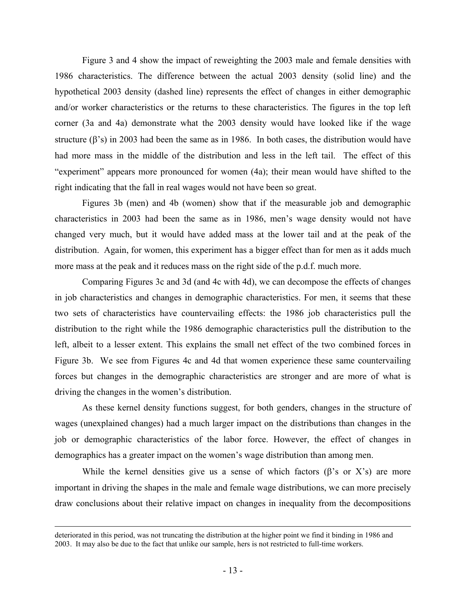Figure 3 and 4 show the impact of reweighting the 2003 male and female densities with 1986 characteristics. The difference between the actual 2003 density (solid line) and the hypothetical 2003 density (dashed line) represents the effect of changes in either demographic and/or worker characteristics or the returns to these characteristics. The figures in the top left corner (3a and 4a) demonstrate what the 2003 density would have looked like if the wage structure (β's) in 2003 had been the same as in 1986. In both cases, the distribution would have had more mass in the middle of the distribution and less in the left tail. The effect of this "experiment" appears more pronounced for women (4a); their mean would have shifted to the right indicating that the fall in real wages would not have been so great.

Figures 3b (men) and 4b (women) show that if the measurable job and demographic characteristics in 2003 had been the same as in 1986, men's wage density would not have changed very much, but it would have added mass at the lower tail and at the peak of the distribution. Again, for women, this experiment has a bigger effect than for men as it adds much more mass at the peak and it reduces mass on the right side of the p.d.f. much more.

Comparing Figures 3c and 3d (and 4c with 4d), we can decompose the effects of changes in job characteristics and changes in demographic characteristics. For men, it seems that these two sets of characteristics have countervailing effects: the 1986 job characteristics pull the distribution to the right while the 1986 demographic characteristics pull the distribution to the left, albeit to a lesser extent. This explains the small net effect of the two combined forces in Figure 3b. We see from Figures 4c and 4d that women experience these same countervailing forces but changes in the demographic characteristics are stronger and are more of what is driving the changes in the women's distribution.

As these kernel density functions suggest, for both genders, changes in the structure of wages (unexplained changes) had a much larger impact on the distributions than changes in the job or demographic characteristics of the labor force. However, the effect of changes in demographics has a greater impact on the women's wage distribution than among men.

While the kernel densities give us a sense of which factors  $(\beta$ 's or X's) are more important in driving the shapes in the male and female wage distributions, we can more precisely draw conclusions about their relative impact on changes in inequality from the decompositions

deteriorated in this period, was not truncating the distribution at the higher point we find it binding in 1986 and 2003. It may also be due to the fact that unlike our sample, hers is not restricted to full-time workers.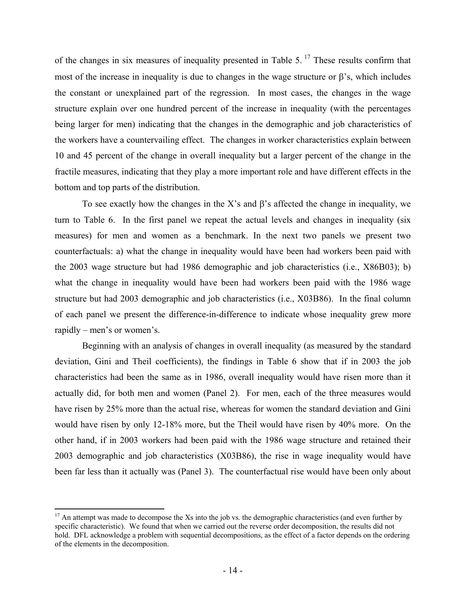of the changes in six measures of inequality presented in Table 5.<sup>17</sup> These results confirm that most of the increase in inequality is due to changes in the wage structure or  $\beta$ 's, which includes the constant or unexplained part of the regression. In most cases, the changes in the wage structure explain over one hundred percent of the increase in inequality (with the percentages being larger for men) indicating that the changes in the demographic and job characteristics of the workers have a countervailing effect. The changes in worker characteristics explain between 10 and 45 percent of the change in overall inequality but a larger percent of the change in the fractile measures, indicating that they play a more important role and have different effects in the bottom and top parts of the distribution.

To see exactly how the changes in the X's and  $\beta$ 's affected the change in inequality, we turn to Table 6. In the first panel we repeat the actual levels and changes in inequality (six measures) for men and women as a benchmark. In the next two panels we present two counterfactuals: a) what the change in inequality would have been had workers been paid with the 2003 wage structure but had 1986 demographic and job characteristics (i.e., X86B03); b) what the change in inequality would have been had workers been paid with the 1986 wage structure but had 2003 demographic and job characteristics (i.e., X03B86). In the final column of each panel we present the difference-in-difference to indicate whose inequality grew more rapidly – men's or women's.

Beginning with an analysis of changes in overall inequality (as measured by the standard deviation, Gini and Theil coefficients), the findings in Table 6 show that if in 2003 the job characteristics had been the same as in 1986, overall inequality would have risen more than it actually did, for both men and women (Panel 2). For men, each of the three measures would have risen by 25% more than the actual rise, whereas for women the standard deviation and Gini would have risen by only 12-18% more, but the Theil would have risen by 40% more. On the other hand, if in 2003 workers had been paid with the 1986 wage structure and retained their 2003 demographic and job characteristics (X03B86), the rise in wage inequality would have been far less than it actually was (Panel 3). The counterfactual rise would have been only about

 $\overline{a}$ 

 $17$  An attempt was made to decompose the Xs into the job vs. the demographic characteristics (and even further by specific characteristic). We found that when we carried out the reverse order decomposition, the results did not hold. DFL acknowledge a problem with sequential decompositions, as the effect of a factor depends on the ordering of the elements in the decomposition.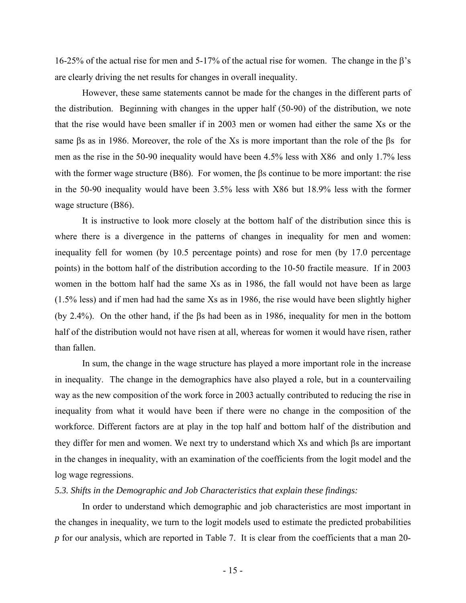16-25% of the actual rise for men and 5-17% of the actual rise for women. The change in the β's are clearly driving the net results for changes in overall inequality.

However, these same statements cannot be made for the changes in the different parts of the distribution. Beginning with changes in the upper half (50-90) of the distribution, we note that the rise would have been smaller if in 2003 men or women had either the same Xs or the same βs as in 1986. Moreover, the role of the Xs is more important than the role of the βs for men as the rise in the 50-90 inequality would have been 4.5% less with X86 and only 1.7% less with the former wage structure (B86). For women, the  $\beta s$  continue to be more important: the rise in the 50-90 inequality would have been 3.5% less with X86 but 18.9% less with the former wage structure (B86).

It is instructive to look more closely at the bottom half of the distribution since this is where there is a divergence in the patterns of changes in inequality for men and women: inequality fell for women (by 10.5 percentage points) and rose for men (by 17.0 percentage points) in the bottom half of the distribution according to the 10-50 fractile measure. If in 2003 women in the bottom half had the same Xs as in 1986, the fall would not have been as large (1.5% less) and if men had had the same Xs as in 1986, the rise would have been slightly higher (by 2.4%). On the other hand, if the βs had been as in 1986, inequality for men in the bottom half of the distribution would not have risen at all, whereas for women it would have risen, rather than fallen.

In sum, the change in the wage structure has played a more important role in the increase in inequality. The change in the demographics have also played a role, but in a countervailing way as the new composition of the work force in 2003 actually contributed to reducing the rise in inequality from what it would have been if there were no change in the composition of the workforce. Different factors are at play in the top half and bottom half of the distribution and they differ for men and women. We next try to understand which Xs and which βs are important in the changes in inequality, with an examination of the coefficients from the logit model and the log wage regressions.

# *5.3. Shifts in the Demographic and Job Characteristics that explain these findings:*

In order to understand which demographic and job characteristics are most important in the changes in inequality, we turn to the logit models used to estimate the predicted probabilities *p* for our analysis, which are reported in Table 7. It is clear from the coefficients that a man 20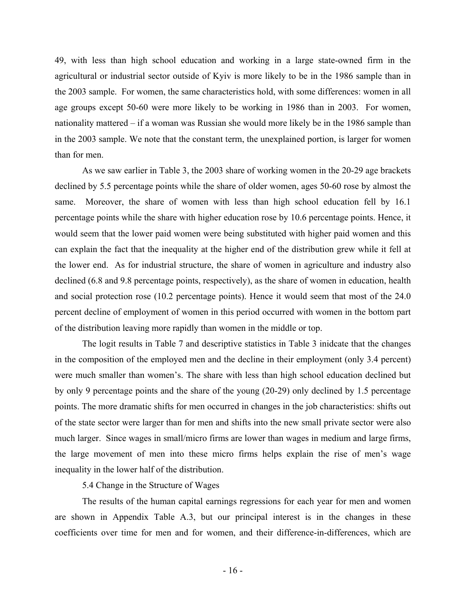49, with less than high school education and working in a large state-owned firm in the agricultural or industrial sector outside of Kyiv is more likely to be in the 1986 sample than in the 2003 sample. For women, the same characteristics hold, with some differences: women in all age groups except 50-60 were more likely to be working in 1986 than in 2003. For women, nationality mattered – if a woman was Russian she would more likely be in the 1986 sample than in the 2003 sample. We note that the constant term, the unexplained portion, is larger for women than for men.

As we saw earlier in Table 3, the 2003 share of working women in the 20-29 age brackets declined by 5.5 percentage points while the share of older women, ages 50-60 rose by almost the same. Moreover, the share of women with less than high school education fell by 16.1 percentage points while the share with higher education rose by 10.6 percentage points. Hence, it would seem that the lower paid women were being substituted with higher paid women and this can explain the fact that the inequality at the higher end of the distribution grew while it fell at the lower end. As for industrial structure, the share of women in agriculture and industry also declined (6.8 and 9.8 percentage points, respectively), as the share of women in education, health and social protection rose (10.2 percentage points). Hence it would seem that most of the 24.0 percent decline of employment of women in this period occurred with women in the bottom part of the distribution leaving more rapidly than women in the middle or top.

The logit results in Table 7 and descriptive statistics in Table 3 inidcate that the changes in the composition of the employed men and the decline in their employment (only 3.4 percent) were much smaller than women's. The share with less than high school education declined but by only 9 percentage points and the share of the young (20-29) only declined by 1.5 percentage points. The more dramatic shifts for men occurred in changes in the job characteristics: shifts out of the state sector were larger than for men and shifts into the new small private sector were also much larger. Since wages in small/micro firms are lower than wages in medium and large firms, the large movement of men into these micro firms helps explain the rise of men's wage inequality in the lower half of the distribution.

# 5.4 Change in the Structure of Wages

The results of the human capital earnings regressions for each year for men and women are shown in Appendix Table A.3, but our principal interest is in the changes in these coefficients over time for men and for women, and their difference-in-differences, which are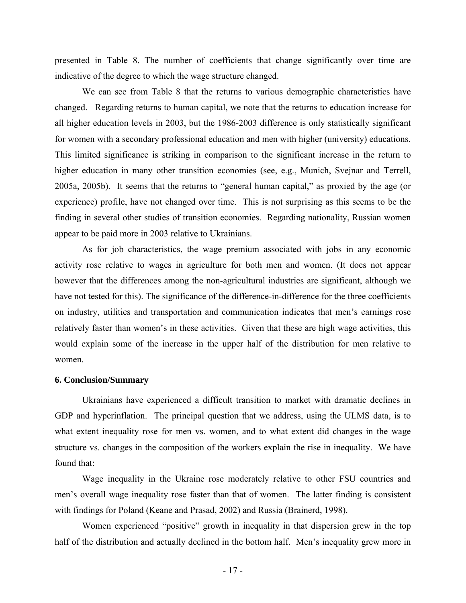presented in Table 8. The number of coefficients that change significantly over time are indicative of the degree to which the wage structure changed.

We can see from Table 8 that the returns to various demographic characteristics have changed. Regarding returns to human capital, we note that the returns to education increase for all higher education levels in 2003, but the 1986-2003 difference is only statistically significant for women with a secondary professional education and men with higher (university) educations. This limited significance is striking in comparison to the significant increase in the return to higher education in many other transition economies (see, e.g., Munich, Svejnar and Terrell, 2005a, 2005b). It seems that the returns to "general human capital," as proxied by the age (or experience) profile, have not changed over time. This is not surprising as this seems to be the finding in several other studies of transition economies. Regarding nationality, Russian women appear to be paid more in 2003 relative to Ukrainians.

As for job characteristics, the wage premium associated with jobs in any economic activity rose relative to wages in agriculture for both men and women. (It does not appear however that the differences among the non-agricultural industries are significant, although we have not tested for this). The significance of the difference-in-difference for the three coefficients on industry, utilities and transportation and communication indicates that men's earnings rose relatively faster than women's in these activities. Given that these are high wage activities, this would explain some of the increase in the upper half of the distribution for men relative to women.

#### **6. Conclusion/Summary**

Ukrainians have experienced a difficult transition to market with dramatic declines in GDP and hyperinflation. The principal question that we address, using the ULMS data, is to what extent inequality rose for men vs. women, and to what extent did changes in the wage structure vs. changes in the composition of the workers explain the rise in inequality. We have found that:

Wage inequality in the Ukraine rose moderately relative to other FSU countries and men's overall wage inequality rose faster than that of women. The latter finding is consistent with findings for Poland (Keane and Prasad, 2002) and Russia (Brainerd, 1998).

Women experienced "positive" growth in inequality in that dispersion grew in the top half of the distribution and actually declined in the bottom half. Men's inequality grew more in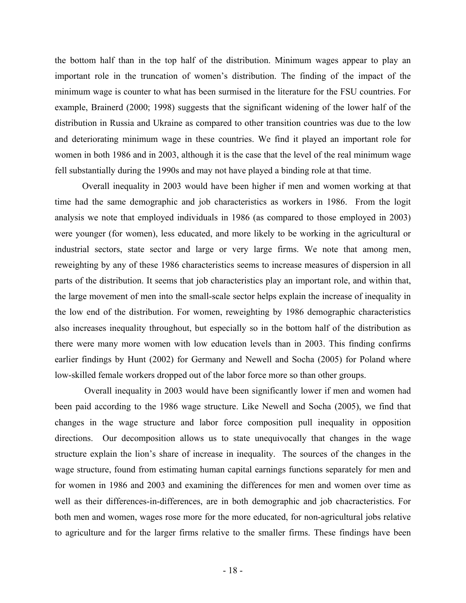the bottom half than in the top half of the distribution. Minimum wages appear to play an important role in the truncation of women's distribution. The finding of the impact of the minimum wage is counter to what has been surmised in the literature for the FSU countries. For example, Brainerd (2000; 1998) suggests that the significant widening of the lower half of the distribution in Russia and Ukraine as compared to other transition countries was due to the low and deteriorating minimum wage in these countries. We find it played an important role for women in both 1986 and in 2003, although it is the case that the level of the real minimum wage fell substantially during the 1990s and may not have played a binding role at that time.

Overall inequality in 2003 would have been higher if men and women working at that time had the same demographic and job characteristics as workers in 1986. From the logit analysis we note that employed individuals in 1986 (as compared to those employed in 2003) were younger (for women), less educated, and more likely to be working in the agricultural or industrial sectors, state sector and large or very large firms. We note that among men, reweighting by any of these 1986 characteristics seems to increase measures of dispersion in all parts of the distribution. It seems that job characteristics play an important role, and within that, the large movement of men into the small-scale sector helps explain the increase of inequality in the low end of the distribution. For women, reweighting by 1986 demographic characteristics also increases inequality throughout, but especially so in the bottom half of the distribution as there were many more women with low education levels than in 2003. This finding confirms earlier findings by Hunt (2002) for Germany and Newell and Socha (2005) for Poland where low-skilled female workers dropped out of the labor force more so than other groups.

 Overall inequality in 2003 would have been significantly lower if men and women had been paid according to the 1986 wage structure. Like Newell and Socha (2005), we find that changes in the wage structure and labor force composition pull inequality in opposition directions. Our decomposition allows us to state unequivocally that changes in the wage structure explain the lion's share of increase in inequality. The sources of the changes in the wage structure, found from estimating human capital earnings functions separately for men and for women in 1986 and 2003 and examining the differences for men and women over time as well as their differences-in-differences, are in both demographic and job chacracteristics. For both men and women, wages rose more for the more educated, for non-agricultural jobs relative to agriculture and for the larger firms relative to the smaller firms. These findings have been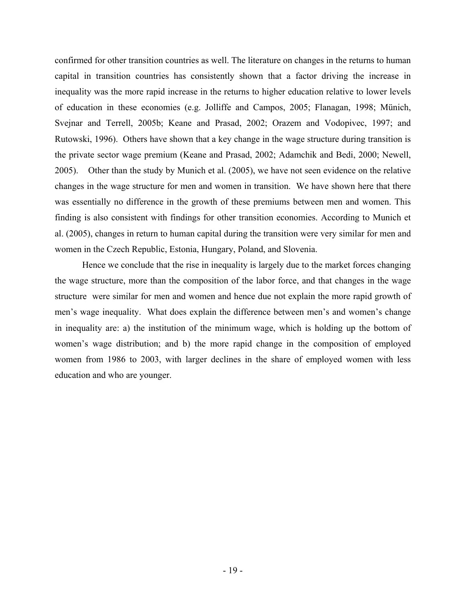confirmed for other transition countries as well. The literature on changes in the returns to human capital in transition countries has consistently shown that a factor driving the increase in inequality was the more rapid increase in the returns to higher education relative to lower levels of education in these economies (e.g. Jolliffe and Campos, 2005; Flanagan, 1998; Münich, Svejnar and Terrell, 2005b; Keane and Prasad, 2002; Orazem and Vodopivec, 1997; and Rutowski, 1996). Others have shown that a key change in the wage structure during transition is the private sector wage premium (Keane and Prasad, 2002; Adamchik and Bedi, 2000; Newell, 2005). Other than the study by Munich et al. (2005), we have not seen evidence on the relative changes in the wage structure for men and women in transition. We have shown here that there was essentially no difference in the growth of these premiums between men and women. This finding is also consistent with findings for other transition economies. According to Munich et al. (2005), changes in return to human capital during the transition were very similar for men and women in the Czech Republic, Estonia, Hungary, Poland, and Slovenia.

Hence we conclude that the rise in inequality is largely due to the market forces changing the wage structure, more than the composition of the labor force, and that changes in the wage structure were similar for men and women and hence due not explain the more rapid growth of men's wage inequality. What does explain the difference between men's and women's change in inequality are: a) the institution of the minimum wage, which is holding up the bottom of women's wage distribution; and b) the more rapid change in the composition of employed women from 1986 to 2003, with larger declines in the share of employed women with less education and who are younger.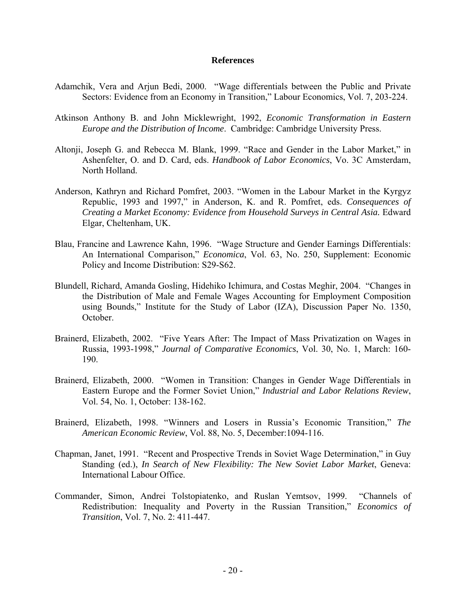#### **References**

- Adamchik, Vera and Arjun Bedi, 2000. "Wage differentials between the Public and Private Sectors: Evidence from an Economy in Transition," Labour Economics, Vol. 7, 203-224.
- Atkinson Anthony B. and John Micklewright, 1992, *Economic Transformation in Eastern Europe and the Distribution of Income*. Cambridge: Cambridge University Press.
- Altonji, Joseph G. and Rebecca M. Blank, 1999. "Race and Gender in the Labor Market," in Ashenfelter, O. and D. Card, eds. *Handbook of Labor Economics*, Vo. 3C Amsterdam, North Holland.
- Anderson, Kathryn and Richard Pomfret, 2003. "Women in the Labour Market in the Kyrgyz Republic, 1993 and 1997," in Anderson, K. and R. Pomfret, eds. *Consequences of Creating a Market Economy: Evidence from Household Surveys in Central Asia.* Edward Elgar, Cheltenham, UK.
- Blau, Francine and Lawrence Kahn, 1996. "Wage Structure and Gender Earnings Differentials: An International Comparison," *Economica*, Vol. 63, No. 250, Supplement: Economic Policy and Income Distribution: S29-S62.
- Blundell, Richard, Amanda Gosling, Hidehiko Ichimura, and Costas Meghir, 2004. "Changes in the Distribution of Male and Female Wages Accounting for Employment Composition using Bounds," Institute for the Study of Labor (IZA), Discussion Paper No. 1350, October.
- Brainerd, Elizabeth, 2002. "Five Years After: The Impact of Mass Privatization on Wages in Russia, 1993-1998," *Journal of Comparative Economics*, Vol. 30, No. 1, March: 160- 190.
- Brainerd, Elizabeth, 2000. "Women in Transition: Changes in Gender Wage Differentials in Eastern Europe and the Former Soviet Union," *Industrial and Labor Relations Review*, Vol. 54, No. 1, October: 138-162.
- Brainerd, Elizabeth, 1998. "Winners and Losers in Russia's Economic Transition," *The American Economic Review*, Vol. 88, No. 5, December:1094-116.
- Chapman, Janet, 1991. "Recent and Prospective Trends in Soviet Wage Determination," in Guy Standing (ed.), *In Search of New Flexibility: The New Soviet Labor Market*, Geneva: International Labour Office.
- Commander, Simon, Andrei Tolstopiatenko, and Ruslan Yemtsov, 1999. "Channels of Redistribution: Inequality and Poverty in the Russian Transition," *Economics of Transition*, Vol. 7, No. 2: 411-447.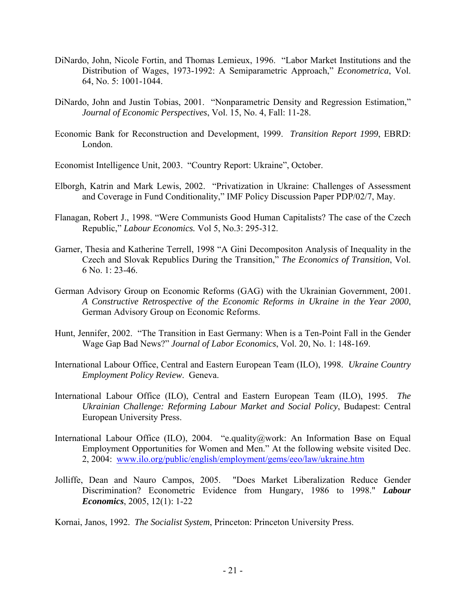- DiNardo, John, Nicole Fortin, and Thomas Lemieux, 1996. "Labor Market Institutions and the Distribution of Wages, 1973-1992: A Semiparametric Approach," *Econometrica*, Vol. 64, No. 5: 1001-1044.
- DiNardo, John and Justin Tobias, 2001. "Nonparametric Density and Regression Estimation," *Journal of Economic Perspectives*, Vol. 15, No. 4, Fall: 11-28.
- Economic Bank for Reconstruction and Development, 1999. *Transition Report 1999*, EBRD: London.
- Economist Intelligence Unit, 2003. "Country Report: Ukraine", October.
- Elborgh, Katrin and Mark Lewis, 2002. "Privatization in Ukraine: Challenges of Assessment and Coverage in Fund Conditionality," IMF Policy Discussion Paper PDP/02/7, May.
- Flanagan, Robert J., 1998. "Were Communists Good Human Capitalists? The case of the Czech Republic," *Labour Economics.* Vol 5, No.3: 295-312.
- Garner, Thesia and Katherine Terrell, 1998 "A Gini Decompositon Analysis of Inequality in the Czech and Slovak Republics During the Transition," *The Economics of Transition*, Vol. 6 No. 1: 23-46.
- German Advisory Group on Economic Reforms (GAG) with the Ukrainian Government, 2001. *A Constructive Retrospective of the Economic Reforms in Ukraine in the Year 2000*, German Advisory Group on Economic Reforms.
- Hunt, Jennifer, 2002. "The Transition in East Germany: When is a Ten-Point Fall in the Gender Wage Gap Bad News?" *Journal of Labor Economics*, Vol. 20, No. 1: 148-169.
- International Labour Office, Central and Eastern European Team (ILO), 1998. *Ukraine Country Employment Policy Review*. Geneva.
- International Labour Office (ILO), Central and Eastern European Team (ILO), 1995. *The Ukrainian Challenge: Reforming Labour Market and Social Policy*, Budapest: Central European University Press.
- International Labour Office (ILO), 2004. "e.quality@work: An Information Base on Equal Employment Opportunities for Women and Men." At the following website visited Dec. 2, 2004: www.ilo.org/public/english/employment/gems/eeo/law/ukraine.htm
- Jolliffe, Dean and Nauro Campos, 2005. "Does Market Liberalization Reduce Gender Discrimination? Econometric Evidence from Hungary, 1986 to 1998." *Labour Economics*, 2005, 12(1): 1-22

Kornai, Janos, 1992. *The Socialist System*, Princeton: Princeton University Press.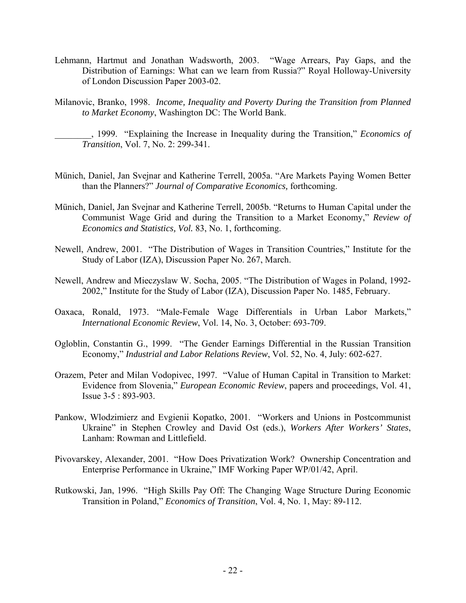- Lehmann, Hartmut and Jonathan Wadsworth, 2003. "Wage Arrears, Pay Gaps, and the Distribution of Earnings: What can we learn from Russia?" Royal Holloway-University of London Discussion Paper 2003-02.
- Milanovic, Branko, 1998. *Income, Inequality and Poverty During the Transition from Planned to Market Economy*, Washington DC: The World Bank.

\_\_\_\_\_\_\_\_, 1999. "Explaining the Increase in Inequality during the Transition," *Economics of Transition*, Vol. 7, No. 2: 299-341.

- Münich, Daniel, Jan Svejnar and Katherine Terrell, 2005a. "Are Markets Paying Women Better than the Planners?" *Journal of Comparative Economics,* forthcoming.
- Münich, Daniel, Jan Svejnar and Katherine Terrell, 2005b. "Returns to Human Capital under the Communist Wage Grid and during the Transition to a Market Economy," *Review of Economics and Statistics, Vol.* 83, No. 1, forthcoming.
- Newell, Andrew, 2001. "The Distribution of Wages in Transition Countries," Institute for the Study of Labor (IZA), Discussion Paper No. 267, March.
- Newell, Andrew and Mieczyslaw W. Socha, 2005. "The Distribution of Wages in Poland, 1992- 2002," Institute for the Study of Labor (IZA), Discussion Paper No. 1485, February.
- Oaxaca, Ronald, 1973. "Male-Female Wage Differentials in Urban Labor Markets," *International Economic Review*, Vol. 14, No. 3, October: 693-709.
- Ogloblin, Constantin G., 1999. "The Gender Earnings Differential in the Russian Transition Economy," *Industrial and Labor Relations Review*, Vol. 52, No. 4, July: 602-627.
- Orazem, Peter and Milan Vodopivec, 1997. "Value of Human Capital in Transition to Market: Evidence from Slovenia," *European Economic Review*, papers and proceedings, Vol. 41, Issue 3-5 : 893-903.
- Pankow, Wlodzimierz and Evgienii Kopatko, 2001. "Workers and Unions in Postcommunist Ukraine" in Stephen Crowley and David Ost (eds.), *Workers After Workers' States*, Lanham: Rowman and Littlefield.
- Pivovarskey, Alexander, 2001. "How Does Privatization Work? Ownership Concentration and Enterprise Performance in Ukraine," IMF Working Paper WP/01/42, April.
- Rutkowski, Jan, 1996. "High Skills Pay Off: The Changing Wage Structure During Economic Transition in Poland," *Economics of Transition*, Vol. 4, No. 1, May: 89-112.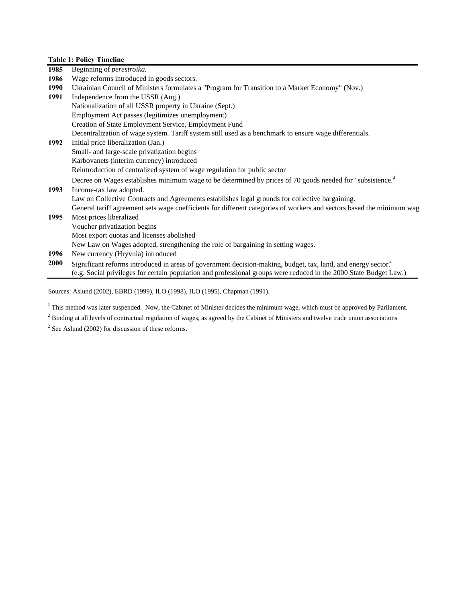|             | <b>Table 1: Policy Timeline</b>                                                                                                                                                                                                                 |
|-------------|-------------------------------------------------------------------------------------------------------------------------------------------------------------------------------------------------------------------------------------------------|
| 1985        | Beginning of <i>perestroika</i> .                                                                                                                                                                                                               |
| 1986        | Wage reforms introduced in goods sectors.                                                                                                                                                                                                       |
| 1990        | Ukrainian Council of Ministers formulates a "Program for Transition to a Market Economy" (Nov.)                                                                                                                                                 |
| 1991        | Independence from the USSR (Aug.)                                                                                                                                                                                                               |
|             | Nationalization of all USSR property in Ukraine (Sept.)                                                                                                                                                                                         |
|             | Employment Act passes (legitimizes unemployment)                                                                                                                                                                                                |
|             | Creation of State Employment Service, Employment Fund                                                                                                                                                                                           |
|             | Decentralization of wage system. Tariff system still used as a benchmark to ensure wage differentials.                                                                                                                                          |
| 1992        | Initial price liberalization (Jan.)                                                                                                                                                                                                             |
|             | Small- and large-scale privatization begins                                                                                                                                                                                                     |
|             | Karbovanets (interim currency) introduced                                                                                                                                                                                                       |
|             | Reintroduction of centralized system of wage regulation for public sector                                                                                                                                                                       |
|             | Decree on Wages establishes minimum wage to be determined by prices of 70 goods needed for 'subsistence. <sup>"</sup>                                                                                                                           |
| 1993        | Income-tax law adopted.                                                                                                                                                                                                                         |
|             | Law on Collective Contracts and Agreements establishes legal grounds for collective bargaining.                                                                                                                                                 |
|             | General tariff agreement sets wage coefficients for different categories of workers and sectors based the minimum wag                                                                                                                           |
| 1995        | Most prices liberalized                                                                                                                                                                                                                         |
|             | Voucher privatization begins                                                                                                                                                                                                                    |
|             | Most export quotas and licenses abolished                                                                                                                                                                                                       |
|             | New Law on Wages adopted, strengthening the role of bargaining in setting wages.                                                                                                                                                                |
| 1996        | New currency (Hryvnia) introduced                                                                                                                                                                                                               |
| <b>2000</b> | Significant reforms introduced in areas of government decision-making, budget, tax, land, and energy sector. <sup>2</sup><br>(e.g. Social privileges for certain population and professional groups were reduced in the 2000 State Budget Law.) |

Sources: Aslund (2002), EBRD (1999), ILO (1998), ILO (1995), Chapman (1991).

<sup>1</sup> This method was later suspended. Now, the Cabinet of Minister decides the minimum wage, which must be approved by Parliament.

 $2^2$  Binding at all levels of contractual regulation of wages, as agreed by the Cabinet of Ministers and twelve trade union associations

 $2^2$  See Aslund (2002) for discussion of these reforms.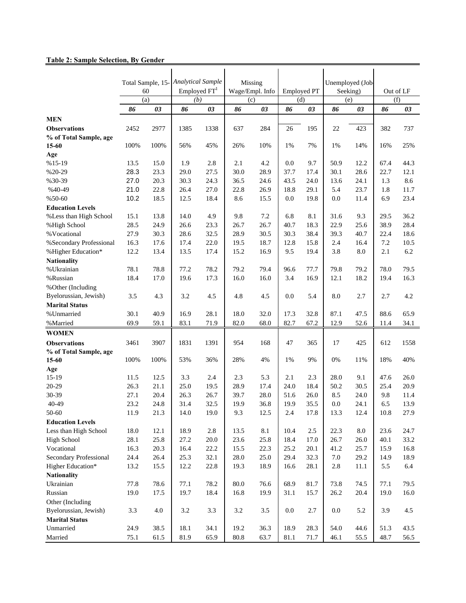# **Table 2: Sample Selection, By Gender**

|                               |      | Total Sample, 15- | <b>Analytical Sample</b> |          |         | Missing         |                    |      |      | Unemployed (Job |           |      |
|-------------------------------|------|-------------------|--------------------------|----------|---------|-----------------|--------------------|------|------|-----------------|-----------|------|
|                               |      | 60                | Employed $FT1$           |          |         | Wage/Empl. Info | <b>Employed PT</b> |      |      | Seeking)        | Out of LF |      |
|                               |      | (a)               | (b)                      |          | (c)     |                 | (d)                |      |      | (e)             | (f)       |      |
|                               | 86   | 03                | 86                       | 03       | 86      | 03              | 86                 | 03   | 86   | 03              | 86        | 03   |
| <b>MEN</b>                    |      |                   |                          |          |         |                 |                    |      |      |                 |           |      |
| <b>Observations</b>           | 2452 | 2977              | 1385                     | 1338     | 637     | 284             | 26                 | 195  | 22   | 423             | 382       | 737  |
| % of Total Sample, age        |      |                   |                          |          |         |                 |                    |      |      |                 |           |      |
| 15-60                         | 100% | 100%              | 56%                      | 45%      | 26%     | 10%             | 1%                 | 7%   | 1%   | 14%             | 16%       | 25%  |
| Age                           |      |                   |                          |          |         |                 |                    |      |      |                 |           |      |
| $%15-19$                      | 13.5 | 15.0              | 1.9                      | 2.8      | 2.1     | 4.2             | 0.0                | 9.7  | 50.9 | 12.2            | 67.4      | 44.3 |
| $%20-29$                      | 28.3 | 23.3              | 29.0                     | 27.5     | 30.0    | 28.9            | 37.7               | 17.4 | 30.1 | 28.6            | 22.7      | 12.1 |
| %30-39                        | 27.0 | 20.3              | 30.3                     | 24.3     | 36.5    | 24.6            | 43.5               | 24.0 | 13.6 | 24.1            | 1.3       | 8.6  |
| %40-49                        | 21.0 | 22.8              | 26.4                     | 27.0     | 22.8    | 26.9            | 18.8               | 29.1 | 5.4  | 23.7            | 1.8       | 11.7 |
| $%50-60$                      | 10.2 | 18.5              | 12.5                     | 18.4     | 8.6     | 15.5            | 0.0                | 19.8 | 0.0  | 11.4            | 6.9       | 23.4 |
| <b>Education Levels</b>       |      |                   |                          |          |         |                 |                    |      |      |                 |           |      |
| % Less than High School       | 15.1 | 13.8              | 14.0                     | 4.9      | 9.8     | 7.2             | 6.8                | 8.1  | 31.6 | 9.3             | 29.5      | 36.2 |
| %High School                  | 28.5 | 24.9              | 26.6                     | 23.3     | 26.7    | 26.7            | 40.7               | 18.3 | 22.9 | 25.6            | 38.9      | 28.4 |
| % Vocational                  | 27.9 | 30.3              | 28.6                     | 32.5     | 28.9    | 30.5            | 30.3               | 38.4 | 39.3 | 40.7            | 22.4      | 18.6 |
| % Secondary Professional      | 16.3 | 17.6              | 17.4                     | 22.0     | 19.5    | 18.7            | 12.8               | 15.8 | 2.4  | 16.4            | 7.2       | 10.5 |
| %Higher Education*            | 12.2 | 13.4              | 13.5                     | 17.4     | 15.2    | 16.9            | 9.5                | 19.4 | 3.8  | 8.0             | 2.1       | 6.2  |
| <b>Nationality</b>            |      |                   |                          |          |         |                 |                    |      |      |                 |           |      |
| % Ukrainian                   | 78.1 | 78.8              | 77.2                     | 78.2     | 79.2    | 79.4            | 96.6               | 77.7 | 79.8 | 79.2            | 78.0      | 79.5 |
| %Russian                      | 18.4 | 17.0              | 19.6                     | 17.3     | 16.0    | 16.0            | 3.4                | 16.9 | 12.1 | 18.2            | 19.4      | 16.3 |
| % Other (Including            |      |                   |                          |          |         |                 |                    |      |      |                 |           |      |
| Byelorussian, Jewish)         | 3.5  | 4.3               | 3.2                      | 4.5      | 4.8     | 4.5             | 0.0                | 5.4  | 8.0  | 2.7             | 2.7       | 4.2  |
| <b>Marital Status</b>         |      |                   |                          |          |         |                 |                    |      |      |                 |           |      |
| % Unmarried                   | 30.1 | 40.9              | 16.9                     | 28.1     | 18.0    | 32.0            | 17.3               | 32.8 | 87.1 | 47.5            | 88.6      | 65.9 |
| %Married                      | 69.9 | 59.1              | 83.1                     | 71.9     | 82.0    | 68.0            | 82.7               | 67.2 | 12.9 | 52.6            | 11.4      | 34.1 |
| <b>WOMEN</b>                  |      |                   |                          |          |         |                 |                    |      |      |                 |           |      |
| <b>Observations</b>           | 3461 | 3907              | 1831                     | 1391     | 954     | 168             | 47                 | 365  | 17   | 425             | 612       | 1558 |
| % of Total Sample, age        |      |                   |                          |          |         |                 |                    |      |      |                 |           |      |
| 15-60                         | 100% | 100%              | 53%                      | 36%      | 28%     | 4%              | 1%                 | 9%   | 0%   | 11%             | 18%       | 40%  |
| Age                           |      |                   |                          |          |         |                 |                    |      |      |                 |           |      |
| $15-19$                       | 11.5 | 12.5              | 3.3                      | 2.4      | 2.3     | 5.3             | 2.1                | 2.3  | 28.0 | 9.1             | 47.6      | 26.0 |
| 20-29                         | 26.3 | 21.1              | 25.0                     | 19.5     | 28.9    | 17.4            | 24.0               | 18.4 | 50.2 | 30.5            | 25.4      | 20.9 |
| 30-39                         | 27.1 | 20.4              | 26.3                     | 26.7     | 39.7    | 28.0            | 51.6               | 26.0 | 8.5  | 24.0            | 9.8       | 11.4 |
| 40-49                         | 23.2 | 24.8              | 31.4                     | 32.5     | 19.9    | 36.8            | 19.9               | 35.5 | 0.0  | 24.1            | 6.5       | 13.9 |
| 50-60                         | 11.9 | 21.3              | 14.0                     | 19.0     | 9.3     | 12.5            | 2.4                | 17.8 | 13.3 | 12.4            | 10.8      | 27.9 |
| <b>Education Levels</b>       |      |                   |                          |          |         |                 |                    |      |      |                 |           |      |
| Less than High School         | 18.0 | 12.1              | 18.9                     | $2.8\,$  | 13.5    | 8.1             | 10.4               | 2.5  | 22.3 | 8.0             | 23.6      | 24.7 |
| <b>High School</b>            | 28.1 | 25.8              | 27.2                     | $20.0\,$ | 23.6    | 25.8            | 18.4               | 17.0 | 26.7 | 26.0            | 40.1      | 33.2 |
| Vocational                    | 16.3 | 20.3              | 16.4                     | 22.2     | 15.5    | 22.3            | 25.2               | 20.1 | 41.2 | 25.7            | 15.9      | 16.8 |
| <b>Secondary Professional</b> | 24.4 | 26.4              | 25.3                     | 32.1     | 28.0    | 25.0            | 29.4               | 32.3 | 7.0  | 29.2            | 14.9      | 18.9 |
| Higher Education*             | 13.2 | 15.5              | 12.2                     | 22.8     | 19.3    | 18.9            | 16.6               | 28.1 | 2.8  | 11.1            | 5.5       | 6.4  |
| <b>Nationality</b>            |      |                   |                          |          |         |                 |                    |      |      |                 |           |      |
| Ukrainian                     | 77.8 | 78.6              | 77.1                     | 78.2     | 80.0    | 76.6            | 68.9               | 81.7 | 73.8 | 74.5            | 77.1      | 79.5 |
| Russian                       | 19.0 | 17.5              | 19.7                     | 18.4     | 16.8    | 19.9            | 31.1               | 15.7 | 26.2 | 20.4            | 19.0      | 16.0 |
| Other (Including              |      |                   |                          |          |         |                 |                    |      |      |                 |           |      |
| Byelorussian, Jewish)         | 3.3  | $4.0\,$           | $3.2\,$                  | 3.3      | $3.2\,$ | $3.5$           | $0.0\,$            | 2.7  | 0.0  | 5.2             | 3.9       | 4.5  |
| <b>Marital Status</b>         |      |                   |                          |          |         |                 |                    |      |      |                 |           |      |
| Unmarried                     | 24.9 | 38.5              | 18.1                     | 34.1     | 19.2    | 36.3            | 18.9               | 28.3 | 54.0 | 44.6            | 51.3      | 43.5 |
| Married                       | 75.1 | 61.5              | 81.9                     | 65.9     | 80.8    | 63.7            | 81.1               | 71.7 | 46.1 | 55.5            | 48.7      | 56.5 |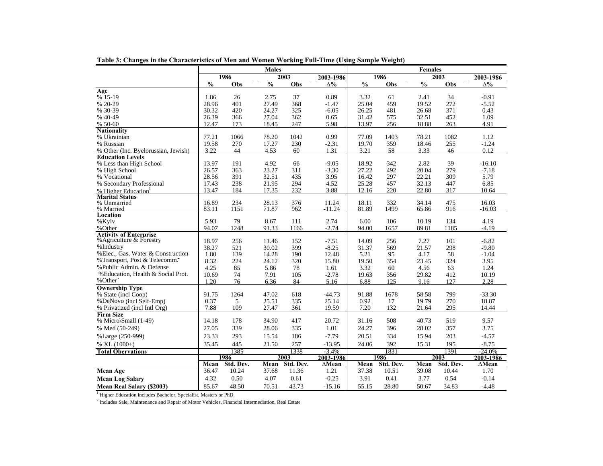|                                           |               |           | <b>Males</b>             |           |                 |               |           | <b>Females</b> |           |               |
|-------------------------------------------|---------------|-----------|--------------------------|-----------|-----------------|---------------|-----------|----------------|-----------|---------------|
|                                           |               | 1986      |                          | 2003      | 2003-1986       |               | 1986      |                | 2003      | 2003-1986     |
|                                           | $\frac{0}{0}$ | Obs       | $\overline{\frac{0}{0}}$ | Obs       | $\Lambda^{0/6}$ | $\frac{0}{6}$ | Obs       | $\frac{0}{0}$  | Obs       | $\Delta\%$    |
| Age                                       |               |           |                          |           |                 |               |           |                |           |               |
| % 15-19                                   | 1.86          | 26        | 2.75                     | 37        | 0.89            | 3.32          | 61        | 2.41           | 34        | $-0.91$       |
| % 20-29                                   | 28.96         | 401       | 27.49                    | 368       | $-1.47$         | 25.04         | 459       | 19.52          | 272       | $-5.52$       |
| % 30-39                                   | 30.32         | 420       | 24.27                    | 325       | $-6.05$         | 26.25         | 481       | 26.68          | 371       | 0.43          |
| % 40-49                                   | 26.39         | 366       | 27.04                    | 362       | 0.65            | 31.42         | 575       | 32.51          | 452       | 1.09          |
| % 50-60                                   | 12.47         | 173       | 18.45                    | 247       | 5.98            | 13.97         | 256       | 18.88          | 263       | 4.91          |
| <b>Nationality</b>                        |               |           |                          |           |                 |               |           |                |           |               |
| % Ukrainian                               | 77.21         | 1066      | 78.20                    | 1042      | 0.99            | 77.09         | 1403      | 78.21          | 1082      | 1.12          |
| % Russian                                 | 19.58         | 270       | 17.27                    | 230       | $-2.31$         | 19.70         | 359       | 18.46          | 255       | $-1.24$       |
| % Other (Inc. Byelorussian, Jewish)       | 3.22          | 44        | 4.53                     | 60        | 1.31            | 3.21          | 58        | 3.33           | 46        | 0.12          |
| <b>Education Levels</b>                   |               |           |                          |           |                 |               |           |                |           |               |
| % Less than High School                   | 13.97         | 191       | 4.92                     | 66        | $-9.05$         | 18.92         | 342       | 2.82           | 39        | $-16.10$      |
| % High School                             | 26.57         | 363       | 23.27                    | 311       | $-3.30$         | 27.22         | 492       | 20.04          | 279       | $-7.18$       |
| % Vocational                              | 28.56         | 391       | 32.51                    | 435       | 3.95            | 16.42         | 297       | 22.21          | 309       | 5.79          |
| % Secondary Professional                  | 17.43         | 238       | 21.95                    | 294       | 4.52            | 25.28         | 457       | 32.13          | 447       | 6.85          |
| % Higher Education                        | 13.47         | 184       | 17.35                    | 232       | 3.88            | 12.16         | 220       | 22.80          | 317       | 10.64         |
| <b>Marital Status</b>                     |               |           |                          |           |                 |               |           |                |           |               |
| % Unmarried                               | 16.89         | 234       | 28.13                    | 376       | 11.24           | 18.11         | 332       | 34.14          | 475       | 16.03         |
| % Married                                 | 83.11         | 1151      | 71.87                    | 962       | $-11.24$        | 81.89         | 1499      | 65.86          | 916       | $-16.03$      |
| Location                                  |               |           |                          |           |                 |               |           |                |           |               |
| %Kyiv                                     | 5.93          | 79        | 8.67                     | 111       | 2.74            | 6.00          | 106       | 10.19          | 134       | 4.19          |
| %Other                                    | 94.07         | 1248      | 91.33                    | 1166      | $-2.74$         | 94.00         | 1657      | 89.81          | 1185      | $-4.19$       |
| <b>Activity of Enterprise</b>             |               |           |                          |           |                 |               |           |                |           |               |
| % Agriculture & Forestry                  | 18.97         | 256       | 11.46                    | 152       | $-7.51$         | 14.09         | 256       | 7.27           | 101       | $-6.82$       |
| %Industry                                 | 38.27         | 521       | 30.02                    | 399       | $-8.25$         | 31.37         | 569       | 21.57          | 298       | $-9.80$       |
| % Elec., Gas, Water & Construction        | 1.80          | 139       | 14.28                    | 190       | 12.48           | 5.21          | 95        | 4.17           | 58        | $-1.04$       |
| %Transport, Post & Telecomm. <sup>2</sup> | 8.32          | 224       | 24.12                    | 320       | 15.80           | 19.50         | 354       | 23.45          | 324       | 3.95          |
| %Public Admin. & Defense                  | 4.25          | 85        | 5.86                     | 78        | 1.61            | 3.32          | 60        | 4.56           | 63        | 1.24          |
| % Education, Health & Social Prot.        | 10.69         | 74        | 7.91                     | 105       | $-2.78$         | 19.63         | 356       | 29.82          | 412       | 10.19         |
| %Other <sup>3</sup>                       | 1.20          | 76        | 6.36                     | 84        | 5.16            | 6.88          | 125       | 9.16           | 127       | 2.28          |
| <b>Ownership Type</b>                     |               |           |                          |           |                 |               |           |                |           |               |
| % State (incl Coop)                       | 91.75         | 1264      | 47.02                    | 618       | $-44.73$        | 91.88         | 1678      | 58.58          | 799       | $-33.30$      |
| %DeNovo (incl Self-Emp)                   | 0.37          | 5         | 25.51                    | 335       | 25.14           | 0.92          | 17        | 19.79          | 270       | 18.87         |
| % Privatized (incl Intl Org)              | 7.88          | 109       | 27.47                    | 361       | 19.59           | 7.20          | 132       | 21.64          | 295       | 14.44         |
| <b>Firm Size</b>                          |               |           |                          |           |                 |               |           |                |           |               |
| % Micro\Small (1-49)                      | 14.18         | 178       | 34.90                    | 417       | 20.72           | 31.16         | 508       | 40.73          | 519       | 9.57          |
| % Med (50-249)                            | 27.05         | 339       | 28.06                    | 335       | 1.01            | 24.27         | 396       | 28.02          | 357       | 3.75          |
| %Large (250-999)                          | 23.33         | 293       | 15.54                    | 186       | $-7.79$         | 20.51         | 334       | 15.94          | 203       | $-4.57$       |
| % XL $(1000+)$                            | 35.45         | 445       | 21.50                    | 257       | $-13.95$        | 24.06         | 392       | 15.31          | 195       | $-8.75$       |
| <b>Total Obervations</b>                  |               | 1385      |                          | 1338      | $-3.4%$         |               | 1831      |                | 1391      | $-24.0%$      |
|                                           |               | 1986      |                          | 2003      | 2003-1986       |               | 1986      |                | 2003      | 2003-1986     |
|                                           | Mean          | Std. Dev. | Mean                     | Std. Dev. | $\Delta$ Mean   | Mean          | Std. Dev. | Mean           | Std. Dev. | $\Delta$ Mean |
| <b>Mean Age</b>                           | 36.47         | 10.24     | 37.68                    | 11.36     | 1.21            | 37.38         | 10.51     | 39.08          | 10.44     | 1.70          |
| <b>Mean Log Salary</b>                    | 4.32          | 0.50      | 4.07                     | 0.61      | $-0.25$         | 3.91          | 0.41      | 3.77           | 0.54      | $-0.14$       |
|                                           |               |           |                          |           |                 |               |           |                |           |               |
| <b>Mean Real Salary (\$2003)</b>          | 85.67         | 48.50     | 70.51                    | 43.73     | $-15.16$        | 55.15         | 28.80     | 50.67          | 34.83     | $-4.48$       |

**Table 3: Changes in the Characteristics of Men and Women Working Full-Time (Using Sample Weight)**

1 Higher Education includes Bachelor, Specialist, Masters or PhD

<sup>2</sup> Includes Sale, Maintenance and Repair of Motor Vehicles, Financial Intermediation, Real Estate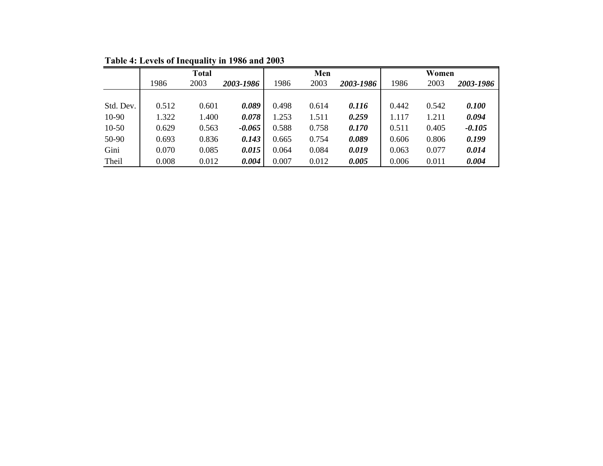|           |       | <b>Total</b> |           |       | Men   |           |       | Women |           |
|-----------|-------|--------------|-----------|-------|-------|-----------|-------|-------|-----------|
|           | 1986  | 2003         | 2003-1986 | 1986  | 2003  | 2003-1986 | 1986  | 2003  | 2003-1986 |
|           |       |              |           |       |       |           |       |       |           |
| Std. Dev. | 0.512 | 0.601        | 0.089     | 0.498 | 0.614 | 0.116     | 0.442 | 0.542 | 0.100     |
| 10-90     | 1.322 | 1.400        | 0.078     | 1.253 | 1.511 | 0.259     | 1.117 | 1.211 | 0.094     |
| $10-50$   | 0.629 | 0.563        | $-0.065$  | 0.588 | 0.758 | 0.170     | 0.511 | 0.405 | $-0.105$  |
| 50-90     | 0.693 | 0.836        | 0.143     | 0.665 | 0.754 | 0.089     | 0.606 | 0.806 | 0.199     |
| Gini      | 0.070 | 0.085        | 0.015     | 0.064 | 0.084 | 0.019     | 0.063 | 0.077 | 0.014     |
| Theil     | 0.008 | 0.012        | 0.004     | 0.007 | 0.012 | 0.005     | 0.006 | 0.011 | 0.004     |

**Table 4: Levels of Inequality in 1986 and 2003**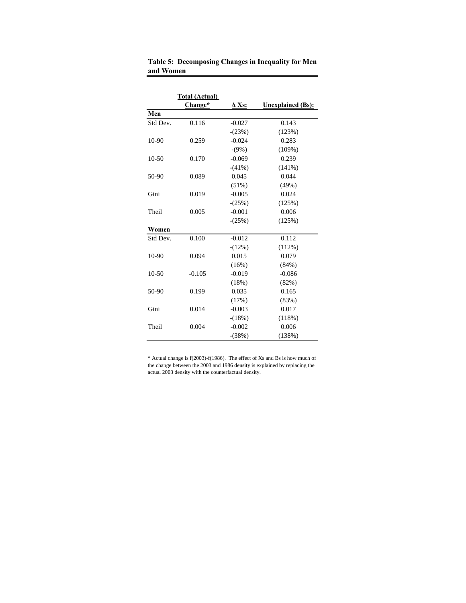|          | Total (Actual)<br>Change* | $\Delta$ Xs: | <b>Unexplained</b> (Bs): |
|----------|---------------------------|--------------|--------------------------|
| Men      |                           |              |                          |
| Std Dev. | 0.116                     | $-0.027$     | 0.143                    |
|          |                           | $-(23%)$     | (123%)                   |
| 10-90    | 0.259                     | $-0.024$     | 0.283                    |
|          |                           | $-(9%)$      | $(109\%)$                |
| $10-50$  | 0.170                     | $-0.069$     | 0.239                    |
|          |                           | $-(41%)$     | (141%)                   |
| 50-90    | 0.089                     | 0.045        | 0.044                    |
|          |                           | (51%)        | (49%)                    |
| Gini     | 0.019                     | $-0.005$     | 0.024                    |
|          |                           | $-(25%)$     | (125%)                   |
| Theil    | 0.005                     | $-0.001$     | 0.006                    |
|          |                           | $-(25%)$     | (125%)                   |
| Women    |                           |              |                          |
| Std Dev. | 0.100                     | $-0.012$     | 0.112                    |
|          |                           | $-(12%)$     | (112%)                   |
| 10-90    | 0.094                     | 0.015        | 0.079                    |
|          |                           | (16%)        | (84%)                    |
| $10-50$  | $-0.105$                  | $-0.019$     | $-0.086$                 |
|          |                           | (18%)        | (82%)                    |
| 50-90    | 0.199                     | 0.035        | 0.165                    |
|          |                           | (17%)        | (83%)                    |
| Gini     | 0.014                     | $-0.003$     | 0.017                    |
|          |                           | $-(18%)$     | (118%)                   |
| Theil    | 0.004                     | $-0.002$     | 0.006                    |
|          |                           | $-(38%)$     | (138%)                   |

**Table 5: Decomposing Changes in Inequality for Men and Women** 

\* Actual change is f(2003)-f(1986). The effect of Xs and Bs is how much of the change between the 2003 and 1986 density is explained by replacing the actual 2003 density with the counterfactual density.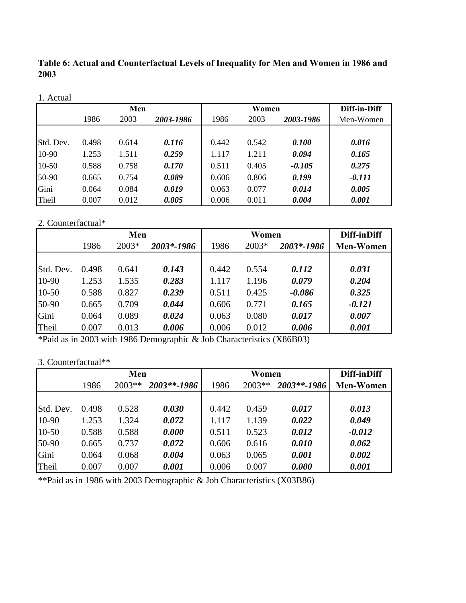**Table 6: Actual and Counterfactual Levels of Inequality for Men and Women in 1986 and 2003**

|           |       | Men   |           |       | Women |           | Diff-in-Diff |
|-----------|-------|-------|-----------|-------|-------|-----------|--------------|
|           | 1986  | 2003  | 2003-1986 | 1986  | 2003  | 2003-1986 | Men-Women    |
|           |       |       |           |       |       |           |              |
| Std. Dev. | 0.498 | 0.614 | 0.116     | 0.442 | 0.542 | 0.100     | 0.016        |
| 10-90     | 1.253 | 1.511 | 0.259     | 1.117 | 1.211 | 0.094     | 0.165        |
| $10-50$   | 0.588 | 0.758 | 0.170     | 0.511 | 0.405 | $-0.105$  | 0.275        |
| 50-90     | 0.665 | 0.754 | 0.089     | 0.606 | 0.806 | 0.199     | $-0.111$     |
| Gini      | 0.064 | 0.084 | 0.019     | 0.063 | 0.077 | 0.014     | 0.005        |
| Theil     | 0.007 | 0.012 | 0.005     | 0.006 | 0.011 | 0.004     | 0.001        |

# 2. Counterfactual\*

|           |       | Men   |            |       | Women |            | Diff-inDiff      |
|-----------|-------|-------|------------|-------|-------|------------|------------------|
|           | 1986  | 2003* | 2003*-1986 | 1986  | 2003* | 2003*-1986 | <b>Men-Women</b> |
|           |       |       |            |       |       |            |                  |
| Std. Dev. | 0.498 | 0.641 | 0.143      | 0.442 | 0.554 | 0.112      | 0.031            |
| 10-90     | 1.253 | 1.535 | 0.283      | 1.117 | 1.196 | 0.079      | 0.204            |
| $10-50$   | 0.588 | 0.827 | 0.239      | 0.511 | 0.425 | $-0.086$   | 0.325            |
| 50-90     | 0.665 | 0.709 | 0.044      | 0.606 | 0.771 | 0.165      | $-0.121$         |
| Gini      | 0.064 | 0.089 | 0.024      | 0.063 | 0.080 | 0.017      | 0.007            |
| Theil     | 0.007 | 0.013 | 0.006      | 0.006 | 0.012 | 0.006      | 0.001            |

\*Paid as in 2003 with 1986 Demographic & Job Characteristics (X86B03)

# 3. Counterfactual\*\*

|           |       | Men    |             |       | Women  |             | Diff-inDiff      |
|-----------|-------|--------|-------------|-------|--------|-------------|------------------|
|           | 1986  | 2003** | 2003**-1986 | 1986  | 2003** | 2003**-1986 | <b>Men-Women</b> |
|           |       |        |             |       |        |             |                  |
| Std. Dev. | 0.498 | 0.528  | 0.030       | 0.442 | 0.459  | 0.017       | 0.013            |
| 10-90     | 1.253 | 1.324  | 0.072       | 1.117 | 1.139  | 0.022       | 0.049            |
| $10-50$   | 0.588 | 0.588  | 0.000       | 0.511 | 0.523  | 0.012       | $-0.012$         |
| 50-90     | 0.665 | 0.737  | 0.072       | 0.606 | 0.616  | 0.010       | 0.062            |
| Gini      | 0.064 | 0.068  | 0.004       | 0.063 | 0.065  | 0.001       | 0.002            |
| Theil     | 0.007 | 0.007  | 0.001       | 0.006 | 0.007  | 0.000       | 0.001            |

\*\*Paid as in 1986 with 2003 Demographic & Job Characteristics (X03B86)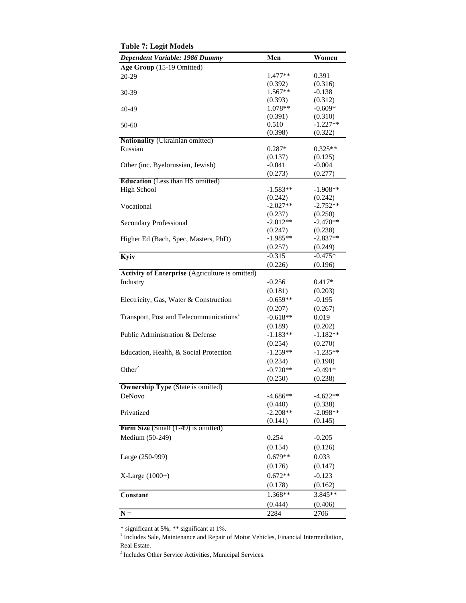| Dependent Variable: 1986 Dummy                      | Men                   | Women                 |
|-----------------------------------------------------|-----------------------|-----------------------|
| Age Group (15-19 Omitted)                           |                       |                       |
| $20-29$                                             | 1.477**               | 0.391                 |
|                                                     | (0.392)               | (0.316)               |
| 30-39                                               | $1.567**$             | $-0.138$              |
|                                                     | (0.393)               | (0.312)               |
| 40-49                                               | 1.078**               | $-0.609*$             |
|                                                     | (0.391)               | (0.310)               |
| 50-60                                               | 0.510                 | $-1.227**$            |
|                                                     | (0.398)               | (0.322)               |
| <b>Nationality</b> (Ukrainian omitted)              |                       |                       |
| Russian                                             | $0.287*$              | $0.325**$             |
|                                                     | (0.137)               | (0.125)               |
| Other (inc. Byelorussian, Jewish)                   | $-0.041$              | $-0.004$              |
| <b>Education</b> (Less than HS omitted)             | (0.273)               | (0.277)               |
| <b>High School</b>                                  | $-1.583**$            | $-1.908**$            |
|                                                     | (0.242)               | (0.242)               |
| Vocational                                          | $-2.027**$            | $-2.752**$            |
|                                                     | (0.237)               | (0.250)               |
| <b>Secondary Professional</b>                       | $-2.012**$            | $-2.470**$            |
|                                                     | (0.247)               | (0.238)               |
| Higher Ed (Bach, Spec, Masters, PhD)                | $-1.985**$            | $-2.837**$            |
|                                                     | (0.257)               | (0.249)               |
| Kyiv                                                | $-0.315$              | $-0.475*$             |
|                                                     | (0.226)               | (0.196)               |
| Activity of Enterprise (Agriculture is omitted)     |                       |                       |
| Industry                                            | $-0.256$              | $0.417*$              |
|                                                     | (0.181)               | (0.203)               |
| Electricity, Gas, Water & Construction              | $-0.659**$            | $-0.195$              |
|                                                     | (0.207)               | (0.267)               |
| Transport, Post and Telecommunications <sup>1</sup> | $-0.618**$            | 0.019                 |
|                                                     | (0.189)               | (0.202)               |
| Public Administration & Defense                     | $-1.183**$            | $-1.182**$            |
|                                                     | (0.254)               | (0.270)               |
|                                                     | $-1.259**$            | $-1.235**$            |
| Education, Health, & Social Protection              |                       |                       |
| Other <sup>2</sup>                                  | (0.234)<br>$-0.720**$ | (0.190)<br>$-0.491*$  |
|                                                     |                       |                       |
|                                                     | (0.250)               | (0.238)               |
| <b>Ownership Type</b> (State is omitted)            |                       |                       |
| DeNovo                                              | $-4.686**$            | $-4.622**$            |
| Privatized                                          | (0.440)<br>$-2.208**$ | (0.338)<br>$-2.098**$ |
|                                                     | (0.141)               | (0.145)               |
| Firm Size (Small $(1-49)$ ) is omitted)             |                       |                       |
| Medium (50-249)                                     | 0.254                 | $-0.205$              |
|                                                     | (0.154)               |                       |
|                                                     |                       | (0.126)               |
| Large (250-999)                                     | $0.679**$             | 0.033                 |
|                                                     | (0.176)               | (0.147)               |
| $X-Large (1000+)$                                   | $0.672**$             | $-0.123$              |
|                                                     | (0.178)               | (0.162)               |
| Constant                                            | 1.368**               | 3.845**               |
|                                                     | (0.444)               | (0.406)               |
| $N =$                                               | 2284                  | 2706                  |

**Table 7: Logit Models** 

\* significant at 5%; \*\* significant at 1%.

<sup>1</sup> Includes Sale, Maintenance and Repair of Motor Vehicles, Financial Intermediation, Real Estate.

3 Includes Other Service Activities, Municipal Services.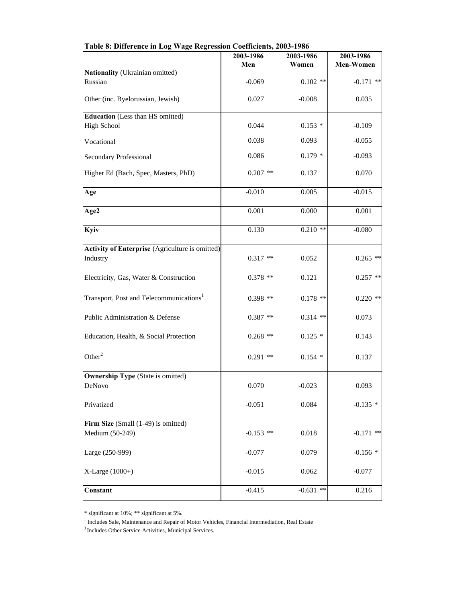|                                                               | 2003-1986   | 2003-1986   | 2003-1986   |
|---------------------------------------------------------------|-------------|-------------|-------------|
|                                                               | Men         | Women       | Men-Women   |
| Nationality (Ukrainian omitted)<br>Russian                    | $-0.069$    | $0.102**$   | $-0.171$ ** |
| Other (inc. Byelorussian, Jewish)                             | 0.027       | $-0.008$    | 0.035       |
| <b>Education</b> (Less than HS omitted)<br><b>High School</b> | 0.044       | $0.153*$    | $-0.109$    |
| Vocational                                                    | 0.038       | 0.093       | $-0.055$    |
| <b>Secondary Professional</b>                                 | 0.086       | $0.179*$    | $-0.093$    |
| Higher Ed (Bach, Spec, Masters, PhD)                          | $0.207$ **  | 0.137       | 0.070       |
| Age                                                           | $-0.010$    | 0.005       | $-0.015$    |
| Age2                                                          | 0.001       | 0.000       | 0.001       |
| Kyiv                                                          | 0.130       | $0.210**$   | $-0.080$    |
| Activity of Enterprise (Agriculture is omitted)<br>Industry   | $0.317**$   | 0.052       | $0.265$ **  |
| Electricity, Gas, Water & Construction                        | $0.378$ **  | 0.121       | $0.257$ **  |
| Transport, Post and Telecommunications <sup>1</sup>           | $0.398**$   | $0.178$ **  | $0.220$ **  |
| Public Administration & Defense                               | $0.387**$   | $0.314$ **  | 0.073       |
| Education, Health, & Social Protection                        | $0.268$ **  | $0.125*$    | 0.143       |
| Other <sup>2</sup>                                            | $0.291$ **  | $0.154*$    | 0.137       |
| <b>Ownership Type (State is omitted)</b>                      |             |             |             |
| DeNovo                                                        | 0.070       | $-0.023$    | 0.093       |
| Privatized                                                    | $-0.051$    | 0.084       | $-0.135*$   |
| Firm Size (Small (1-49) is omitted)                           |             |             |             |
| Medium (50-249)                                               | $-0.153$ ** | 0.018       | $-0.171$ ** |
| Large (250-999)                                               | $-0.077$    | 0.079       | $-0.156*$   |
| X-Large (1000+)                                               | $-0.015$    | 0.062       | $-0.077$    |
| Constant                                                      | $-0.415$    | $-0.631$ ** | 0.216       |

**Table 8: Difference in Log Wage Regression Coefficients, 2003-1986**

<sup>\*</sup> significant at 10%; \*\* significant at 5%.

<sup>&</sup>lt;sup>1</sup> Includes Sale, Maintenance and Repair of Motor Vehicles, Financial Intermediation, Real Estate

 $^3$  Includes Other Service Activities, Municipal Services.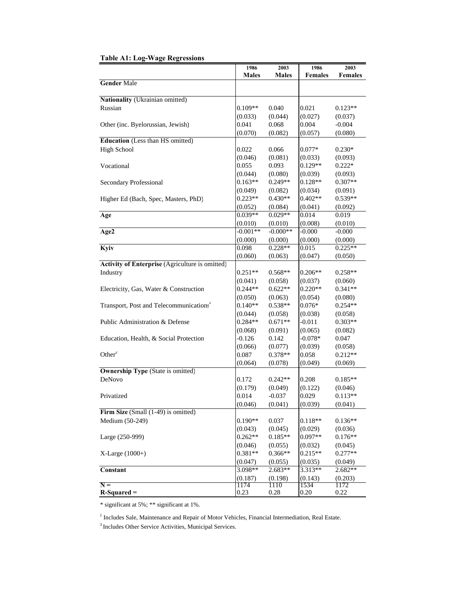| <b>Table A1: Log-Wage Regressions</b> |
|---------------------------------------|
|---------------------------------------|

|                                                        | 1986         | 2003         | 1986           | 2003           |
|--------------------------------------------------------|--------------|--------------|----------------|----------------|
|                                                        | <b>Males</b> | <b>Males</b> | <b>Females</b> | <b>Females</b> |
| <b>Gender Male</b>                                     |              |              |                |                |
| Nationality (Ukrainian omitted)                        |              |              |                |                |
| Russian                                                |              |              |                |                |
|                                                        | $0.109**$    | 0.040        | 0.021          | $0.123**$      |
|                                                        | (0.033)      | (0.044)      | (0.027)        | (0.037)        |
| Other (inc. Byelorussian, Jewish)                      | 0.041        | 0.068        | 0.004          | $-0.004$       |
|                                                        | (0.070)      | (0.082)      | (0.057)        | (0.080)        |
| <b>Education</b> (Less than HS omitted)                |              |              |                |                |
| <b>High School</b>                                     | 0.022        | 0.066        | $0.077*$       | $0.230*$       |
|                                                        | (0.046)      | (0.081)      | (0.033)        | (0.093)        |
| Vocational                                             | 0.055        | 0.093        | $0.129**$      | $0.222*$       |
|                                                        | (0.044)      | (0.080)      | (0.039)        | (0.093)        |
| Secondary Professional                                 | $0.163**$    | $0.249**$    | $0.128**$      | $0.307**$      |
|                                                        | (0.049)      | (0.082)      | (0.034)        | (0.091)        |
| Higher Ed (Bach, Spec, Masters, PhD)                   | $0.223**$    | $0.430**$    | $0.402**$      | $0.539**$      |
|                                                        | (0.052)      | (0.084)      | (0.041)        | (0.092)        |
| Age                                                    | $0.039**$    | $0.029**$    | 0.014          | 0.019          |
|                                                        | (0.010)      | (0.010)      | (0.008)        | (0.010)        |
| Age2                                                   | $-0.001**$   | $-0.000**$   | $-0.000$       | $-0.000$       |
|                                                        | (0.000)      | (0.000)      | (0.000)        | (0.000)        |
| Kyiv                                                   | 0.098        | $0.228**$    | 0.015          | $0.225**$      |
|                                                        | (0.060)      | (0.063)      | (0.047)        | (0.050)        |
| <b>Activity of Enterprise</b> (Agriculture is omitted) |              |              |                |                |
| Industry                                               | $0.251**$    | $0.568**$    | $0.206**$      | $0.258**$      |
|                                                        | (0.041)      | (0.058)      | (0.037)        | (0.060)        |
| Electricity, Gas, Water & Construction                 | $0.244**$    | $0.622**$    | $0.220**$      | $0.341**$      |
|                                                        | (0.050)      | (0.063)      | (0.054)        | (0.080)        |
| Transport, Post and Telecommunications <sup>1</sup>    | $0.140**$    | $0.538**$    | $0.076*$       | $0.254**$      |
|                                                        | (0.044)      | (0.058)      | (0.038)        | (0.058)        |
| Public Administration & Defense                        | $0.284**$    | $0.671**$    | $-0.011$       | $0.303**$      |
|                                                        | (0.068)      | (0.091)      | (0.065)        | (0.082)        |
| Education, Health, & Social Protection                 | $-0.126$     | 0.142        | $-0.078*$      | 0.047          |
|                                                        | (0.066)      | (0.077)      | (0.039)        | (0.058)        |
| Other $\overline{ }$                                   | 0.087        |              |                |                |
|                                                        |              | 0.378**      | 0.058          | $0.212**$      |
|                                                        | (0.064)      | (0.078)      | (0.049)        | (0.069)        |
| <b>Ownership Type (State is omitted)</b><br>DeNovo     |              |              |                | $0.185**$      |
|                                                        | 0.172        | $0.242**$    | 0.208          |                |
|                                                        | (0.179)      | (0.049)      | (0.122)        | (0.046)        |
| Privatized                                             | 0.014        | $-0.037$     | 0.029          | $0.113**$      |
|                                                        | (0.046)      | (0.041)      | (0.039)        | (0.041)        |
| Firm Size (Small (1-49) is omitted)                    |              |              |                |                |
| Medium (50-249)                                        | $0.190**$    | 0.037        | $0.118**$      | $0.136**$      |
|                                                        | (0.043)      | (0.045)      | (0.029)        | (0.036)        |
| Large (250-999)                                        | $0.262**$    | $0.185**$    | $0.097**$      | $0.176**$      |
|                                                        | (0.046)      | (0.055)      | (0.032)        | (0.045)        |
| $X-Large(1000+)$                                       | $0.381**$    | $0.366**$    | $0.215**$      | $0.277**$      |
|                                                        | (0.047)      | (0.055)      | (0.035)        | (0.049)        |
| <b>Constant</b>                                        | 3.098**      | 2.683**      | 3.313**        | 2.682**        |
|                                                        | (0.187)      | (0.198)      | (0.143)        | (0.203)        |
| $N =$                                                  | 1174         | 1110         | 1534           | 1172           |
| $R-Squared =$                                          | 0.23         | 0.28         | 0.20           | 0.22           |

\* significant at 5%; \*\* significant at 1%.

<sup>1</sup> Includes Sale, Maintenance and Repair of Motor Vehicles, Financial Intermediation, Real Estate.

3 Includes Other Service Activities, Municipal Services.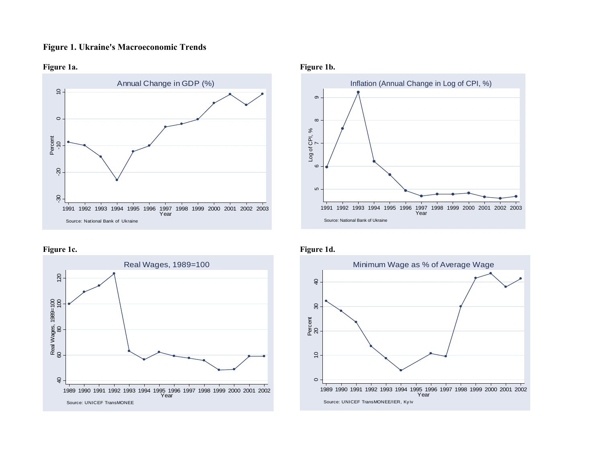# **Figure 1. Ukraine's Macroeconomic Trends**



# **Figure 1c. Figure 1d.**



# Figure 1a. Figure 1b.



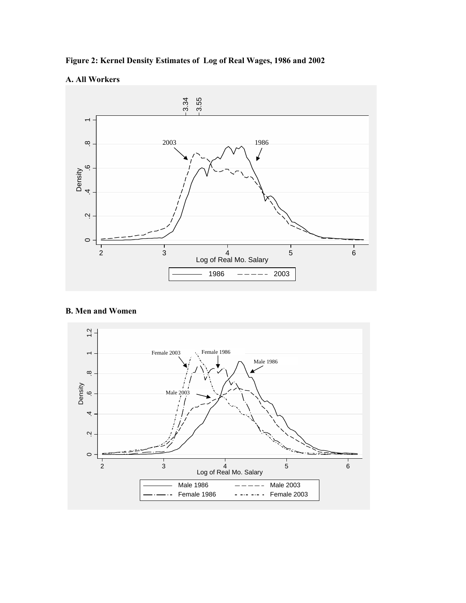

# **A. All Workers**



# **B. Men and Women**

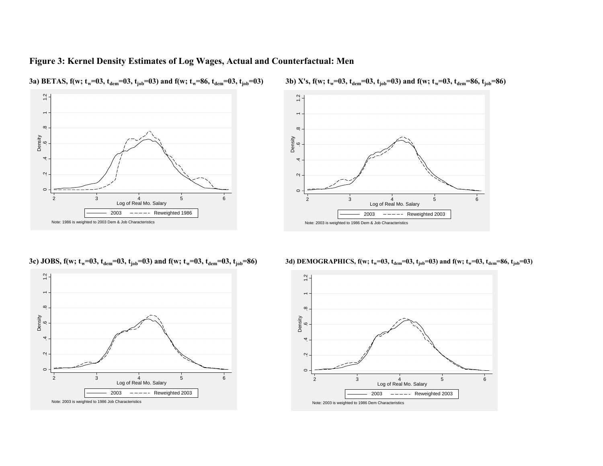# **Figure 3: Kernel Density Estimates of Log Wages, Actual and Counterfactual: Men**



**3a**) **BETAS, f**(w; t<sub>w</sub>=03, t<sub>dem</sub>=03, t<sub>job</sub>=03) and f(w; t<sub>w</sub>=86, t<sub>dem</sub>=03, t<sub>job</sub>=03) **3b)** X's, f(w; t



w=03, t<sub>dem</sub>=03, t<sub>job</sub>=03) and f(w; t<sub>w</sub>=03, t<sub>dem</sub>=86, t<sub>job</sub>=86)

3c) JOBS, f(w; t<sub>w</sub>=03, t<sub>dem</sub>=03, t<sub>job</sub>=03) and f(w; t



**3d) DEMOGRAPHICS, f(w; t<sub>w</sub>=03, t<sub>dem</sub>=03, t<sub>job</sub>=03) and f(w; t<sub>w</sub>=03, t<sub>dem</sub>=86, t<sub>job</sub>=03)**